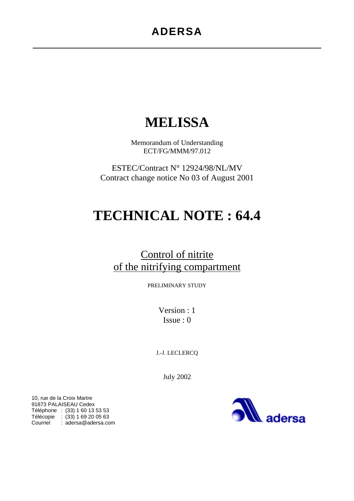# **MELISSA**

Memorandum of Understanding ECT/FG/MMM/97.012

ESTEC/Contract N° 12924/98/NL/MV Contract change notice No 03 of August 2001

# **TECHNICAL NOTE : 64.4**

# Control of nitrite of the nitrifying compartment

PRELIMINARY STUDY

Version : 1 Issue : 0

J.-J. LECLERCQ

July 2002

10, rue de la Croix Martre 91873 PALAISEAU Cedex Téléphone : (33) 1 60 13 53 53 Télécopie : (33) 1 69 20 05 63 Courriel : adersa@adersa.com

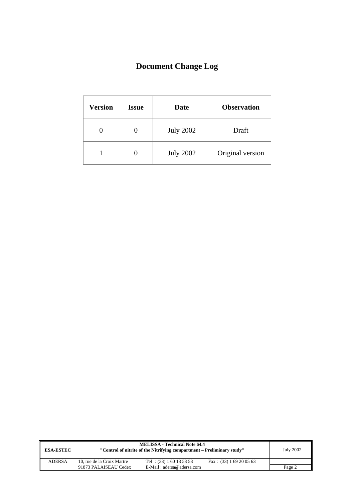# **Document Change Log**

| <b>Version</b> | <b>Issue</b> | Date             | <b>Observation</b> |
|----------------|--------------|------------------|--------------------|
|                |              | <b>July 2002</b> | Draft              |
|                |              | <b>July 2002</b> | Original version   |

| <b>ESA-ESTEC</b> |                            | <b>MELISSA - Technical Note 64.4</b><br>"Control of nitrite of the Nitrifying compartment – Preliminary study" |                           | <b>July 2002</b> |
|------------------|----------------------------|----------------------------------------------------------------------------------------------------------------|---------------------------|------------------|
| <b>ADERSA</b>    | 10, rue de la Croix Martre | Tel : $(33) 1 60 13 53 53$                                                                                     | Fax: $(33)$ 1 69 20 05 63 |                  |
|                  | 91873 PALAISEAU Cedex      | E-Mail: adersa@adersa.com                                                                                      |                           | Page 2           |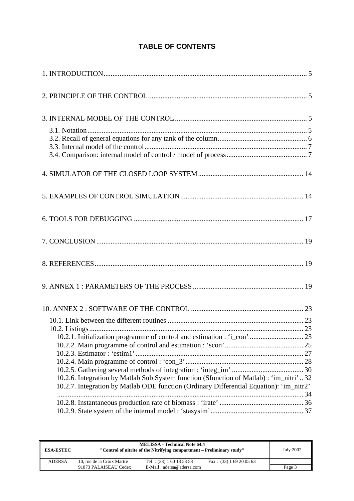### **TABLE OF CONTENTS**

| 10.2.1. Initialization programme of control and estimation : 'i_con'  23                |  |
|-----------------------------------------------------------------------------------------|--|
|                                                                                         |  |
|                                                                                         |  |
|                                                                                         |  |
| 10.2.6. Integration by Matlab Sub System function (Sfunction of Matlab) : 'im_nitri'32  |  |
| 10.2.7. Integration by Matlab ODE function (Ordinary Differential Equation): 'im_nitr2' |  |
|                                                                                         |  |
|                                                                                         |  |
|                                                                                         |  |

| <b>ESA-ESTEC</b> |                            | <b>MELISSA - Technical Note 64.4</b><br>"Control of nitrite of the Nitrifying compartment - Preliminary study" |                           |        |  |  |  |
|------------------|----------------------------|----------------------------------------------------------------------------------------------------------------|---------------------------|--------|--|--|--|
| <b>ADERSA</b>    | 10, rue de la Croix Martre | Tel : $(33) 1 60 13 53 53$                                                                                     | Fax: $(33)$ 1 69 20 05 63 |        |  |  |  |
|                  | 91873 PALAISEAU Cedex      | E-Mail: adersa@adersa.com                                                                                      |                           | Page 3 |  |  |  |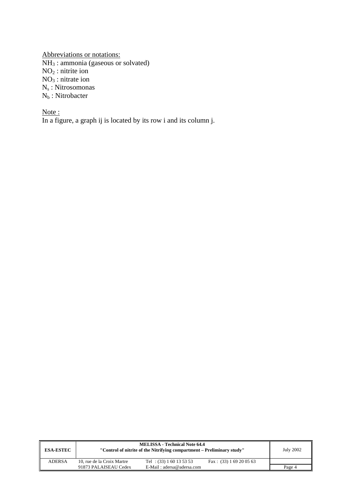Abbreviations or notations:  $NH<sub>3</sub>$ : ammonia (gaseous or solvated)  $NO<sub>2</sub>$ : nitrite ion  $NO<sub>3</sub>$ : nitrate ion  $N_s$ : Nitrosomonas  $N_b$ : Nitrobacter

Note: In a figure, a graph ij is located by its row i and its column j.

| <b>ESA-ESTEC</b> |                            | <b>MELISSA - Technical Note 64.4</b><br>"Control of nitrite of the Nitrifying compartment – Preliminary study" |                           | <b>July 2002</b> |
|------------------|----------------------------|----------------------------------------------------------------------------------------------------------------|---------------------------|------------------|
| <b>ADERSA</b>    | 10, rue de la Croix Martre | Tel : $(33) 1 60 13 53 53$                                                                                     | Fax: $(33)$ 1 69 20 05 63 |                  |
|                  | 91873 PALAISEAU Cedex      | E-Mail: adersa@adersa.com                                                                                      |                           | Page 4           |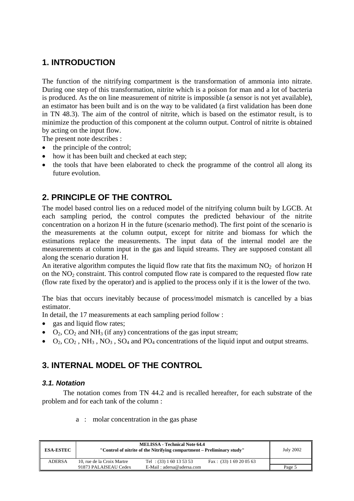# **1. INTRODUCTION**

The function of the nitrifying compartment is the transformation of ammonia into nitrate. During one step of this transformation, nitrite which is a poison for man and a lot of bacteria is produced. As the on line measurement of nitrite is impossible (a sensor is not yet available), an estimator has been built and is on the way to be validated (a first validation has been done in TN 48.3). The aim of the control of nitrite, which is based on the estimator result, is to minimize the production of this component at the column output. Control of nitrite is obtained by acting on the input flow.

The present note describes :

- the principle of the control;
- how it has been built and checked at each step:
- the tools that have been elaborated to check the programme of the control all along its future evolution.

## **2. PRINCIPLE OF THE CONTROL**

The model based control lies on a reduced model of the nitrifying column built by LGCB. At each sampling period, the control computes the predicted behaviour of the nitrite concentration on a horizon H in the future (scenario method). The first point of the scenario is the measurements at the column output, except for nitrite and biomass for which the estimations replace the measurements. The input data of the internal model are the measurements at column input in the gas and liquid streams. They are supposed constant all along the scenario duration H.

An iterative algorithm computes the liquid flow rate that fits the maximum  $NO<sub>2</sub>$  of horizon H on the  $NO<sub>2</sub>$  constraint. This control computed flow rate is compared to the requested flow rate (flow rate fixed by the operator) and is applied to the process only if it is the lower of the two.

The bias that occurs inevitably because of process/model mismatch is cancelled by a bias estimator.

In detail, the 17 measurements at each sampling period follow :

- gas and liquid flow rates;
- $O_2$ ,  $CO_2$  and NH<sub>3</sub> (if any) concentrations of the gas input stream;
- $O_2$ ,  $CO_2$ , NH<sub>3</sub>, NO<sub>3</sub>, SO<sub>4</sub> and PO<sub>4</sub> concentrations of the liquid input and output streams.

### **3. INTERNAL MODEL OF THE CONTROL**

#### *3.1. Notation*

The notation comes from TN 44.2 and is recalled hereafter, for each substrate of the problem and for each tank of the column :

|  |  |  | a : molar concentration in the gas phase |  |  |  |  |  |
|--|--|--|------------------------------------------|--|--|--|--|--|
|--|--|--|------------------------------------------|--|--|--|--|--|

| <b>ESA-ESTEC</b> |                            | <b>MELISSA - Technical Note 64.4</b><br>"Control of nitrite of the Nitrifying compartment – Preliminary study" |                           | <b>July 2002</b> |
|------------------|----------------------------|----------------------------------------------------------------------------------------------------------------|---------------------------|------------------|
| <b>ADERSA</b>    | 10, rue de la Croix Martre | Tel : $(33) 1 60 13 53 53$                                                                                     | Fax: $(33)$ 1 69 20 05 63 |                  |
|                  | 91873 PALAISEAU Cedex      | $E-Mail : adersa@adersa.com$                                                                                   |                           | Page 5           |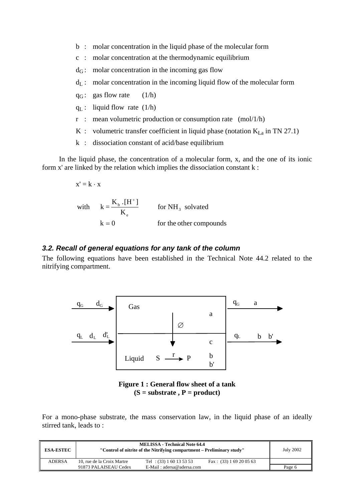- b : molar concentration in the liquid phase of the molecular form
- c : molar concentration at the thermodynamic equilibrium
- $d_G$ : molar concentration in the incoming gas flow
- $d_L$ : molar concentration in the incoming liquid flow of the molecular form
- $q_G$ : gas flow rate (1/h)
- $q_L$ : liquid flow rate (1/h)
- r : mean volumetric production or consumption rate (mol/1/h)
- K : volumetric transfer coefficient in liquid phase (notation  $K_{La}$  in TN 27.1)
- k : dissociation constant of acid/base equilibrium

In the liquid phase, the concentration of a molecular form, x, and the one of its ionic form x' are linked by the relation which implies the dissociation constant k :

$$
x' = k \cdot x
$$
  
with  $k = \frac{K_b \cdot [H^+]}{K_e}$  for NH<sub>3</sub> solved  
 $k = 0$  for the other compounds

#### *3.2. Recall of general equations for any tank of the column*

The following equations have been established in the Technical Note 44.2 related to the nitrifying compartment.



**Figure 1 : General flow sheet of a tank (S = substrate , P = product)** 

For a mono-phase substrate, the mass conservation law, in the liquid phase of an ideally stirred tank, leads to :

| <b>ESA-ESTEC</b> |                            | <b>MELISSA - Technical Note 64.4</b><br>"Control of nitrite of the Nitrifying compartment – Preliminary study" |                           |        |  |
|------------------|----------------------------|----------------------------------------------------------------------------------------------------------------|---------------------------|--------|--|
| <b>ADERSA</b>    | 10, rue de la Croix Martre | Tel : $(33) 1 60 13 53 53$                                                                                     | Fax: $(33)$ 1 69 20 05 63 |        |  |
|                  | 91873 PALAISEAU Cedex      | E-Mail: adersa@adersa.com                                                                                      |                           | Page 6 |  |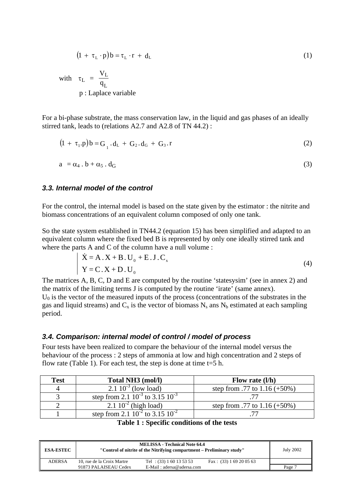$$
(1 + \tau_L \cdot p)b = \tau_L \cdot r + d_L \tag{1}
$$

with  $\tau_L = \frac{V_L}{g}$ L V  $\tau_{\rm L}$  =  $\frac{1}{q}$ p : Laplace variable

For a bi-phase substrate, the mass conservation law, in the liquid and gas phases of an ideally stirred tank, leads to (relations A2.7 and A2.8 of TN 44.2) :

$$
(1 + \tau_1 \cdot p)b = G_1 \cdot d_L + G_2 \cdot d_G + G_3 \cdot r \tag{2}
$$

$$
a = \alpha_4 \cdot b + \alpha_5 \cdot d_G \tag{3}
$$

#### *3.3. Internal model of the control*

For the control, the internal model is based on the state given by the estimator : the nitrite and biomass concentrations of an equivalent column composed of only one tank.

So the state system established in TN44.2 (equation 15) has been simplified and adapted to an equivalent column where the fixed bed B is represented by only one ideally stirred tank and where the parts A and C of the column have a null volume :

$$
\dot{X} = A \cdot X + B \cdot U_0 + E \cdot J \cdot C_x
$$
  
\n
$$
Y = C \cdot X + D \cdot U_0
$$
 (4)

The matrices A, B, C, D and E are computed by the routine 'statesysim' (see in annex 2) and the matrix of the limiting terms J is computed by the routine 'irate' (same annex).

 $U_0$  is the vector of the measured inputs of the process (concentrations of the substrates in the gas and liquid streams) and  $C_x$  is the vector of biomass  $N_s$  ans  $N_b$  estimated at each sampling period.

#### *3.4. Comparison: internal model of control / model of process*

Four tests have been realized to compare the behaviour of the internal model versus the behaviour of the process : 2 steps of ammonia at low and high concentration and 2 steps of flow rate (Table 1). For each test, the step is done at time  $t=5$  h.

| <b>Test</b> | Total NH3 (mol/l)                         | Flow rate $(l/h)$               |
|-------------|-------------------------------------------|---------------------------------|
|             | $\sqrt{2.1} 10^{-3}$ (low load)           | step from .77 to $1.16 (+50\%)$ |
|             | step from 2.1 $10^{-3}$ to 3.15 $10^{-3}$ |                                 |
|             | 2.1 $10^{-2}$ (high load)                 | step from .77 to $1.16 (+50\%)$ |
|             | step from 2.1 $10^{-2}$ to 3.15 $10^{-2}$ |                                 |

|  |  |  | Table 1 : Specific conditions of the tests |  |  |  |
|--|--|--|--------------------------------------------|--|--|--|
|--|--|--|--------------------------------------------|--|--|--|

| <b>ESA-ESTEC</b> |                            | <b>MELISSA - Technical Note 64.4</b><br>"Control of nitrite of the Nitrifying compartment – Preliminary study" |                           |        |  |
|------------------|----------------------------|----------------------------------------------------------------------------------------------------------------|---------------------------|--------|--|
| <b>ADERSA</b>    | 10, rue de la Croix Martre | Tel : $(33) 1 60 13 53 53$                                                                                     | Fax: $(33)$ 1 69 20 05 63 |        |  |
|                  | 91873 PALAISEAU Cedex      | $E-Mail : adersa@adersa.com$                                                                                   |                           | Page 7 |  |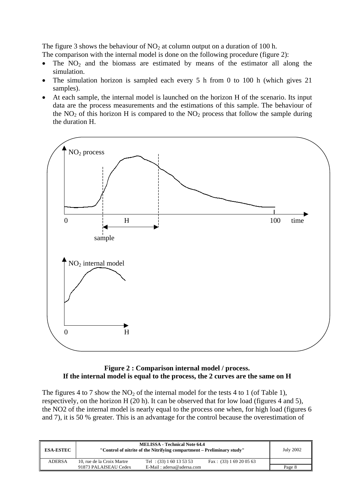The figure 3 shows the behaviour of  $NO<sub>2</sub>$  at column output on a duration of 100 h.

The comparison with the internal model is done on the following procedure (figure 2):

- The  $NO<sub>2</sub>$  and the biomass are estimated by means of the estimator all along the simulation.
- The simulation horizon is sampled each every 5 h from 0 to 100 h (which gives 21) samples).
- At each sample, the internal model is launched on the horizon H of the scenario. Its input data are the process measurements and the estimations of this sample. The behaviour of the  $NO<sub>2</sub>$  of this horizon H is compared to the  $NO<sub>2</sub>$  process that follow the sample during the duration H.



#### **Figure 2 : Comparison internal model / process. If the internal model is equal to the process, the 2 curves are the same on H**

The figures 4 to 7 show the  $NO<sub>2</sub>$  of the internal model for the tests 4 to 1 (of Table 1), respectively, on the horizon H (20 h). It can be observed that for low load (figures 4 and 5), the NO2 of the internal model is nearly equal to the process one when, for high load (figures 6 and 7), it is 50 % greater. This is an advantage for the control because the overestimation of

| <b>ESA-ESTEC</b> |                            | <b>MELISSA</b> - Technical Note 64.4<br>"Control of nitrite of the Nitrifying compartment – Preliminary study" |                           | <b>July 2002</b> |
|------------------|----------------------------|----------------------------------------------------------------------------------------------------------------|---------------------------|------------------|
| <b>ADERSA</b>    | 10. rue de la Croix Martre | Tel : $(33) 1 60 13 53 53$                                                                                     | Fax: $(33)$ 1 69 20 05 63 |                  |
|                  | 91873 PALAISEAU Cedex      | $E-Mail : adersa@adersa.com$                                                                                   |                           | Page 8           |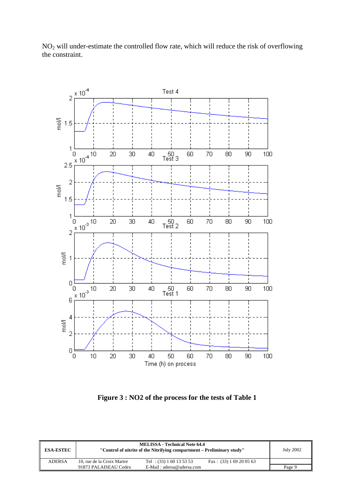

NO2 will under-estimate the controlled flow rate, which will reduce the risk of overflowing the constraint.

**Figure 3 : NO2 of the process for the tests of Table 1** 

| <b>ESA-ESTEC</b> |                            | <b>MELISSA - Technical Note 64.4</b><br>"Control of nitrite of the Nitrifying compartment – Preliminary study" |                           | <b>July 2002</b> |
|------------------|----------------------------|----------------------------------------------------------------------------------------------------------------|---------------------------|------------------|
| <b>ADERSA</b>    | 10. rue de la Croix Martre | Tel : $(33) 1 60 13 53 53$                                                                                     | Fax: $(33)$ 1 69 20 05 63 |                  |
|                  | 91873 PALAISEAU Cedex      | E-Mail: adersa@adersa.com                                                                                      |                           | Page 9           |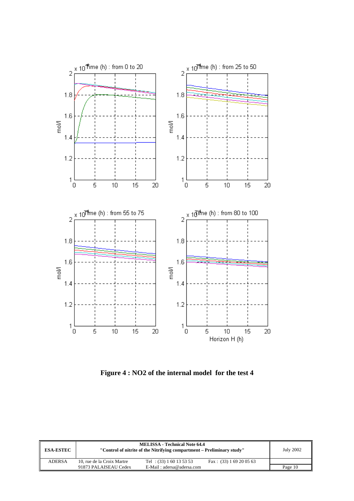

**Figure 4 : NO2 of the internal model for the test 4** 

| <b>ESA-ESTEC</b> |                            | <b>MELISSA - Technical Note 64.4</b><br>"Control of nitrite of the Nitrifying compartment – Preliminary study" |                           | July 2002 |
|------------------|----------------------------|----------------------------------------------------------------------------------------------------------------|---------------------------|-----------|
| <b>ADERSA</b>    | 10, rue de la Croix Martre | Tel : $(33) 1 60 13 53 53$                                                                                     | Fax: $(33)$ 1 69 20 05 63 |           |
|                  | 91873 PALAISEAU Cedex      | $E-Mail: adersa@adersa.com$                                                                                    |                           | Page 10   |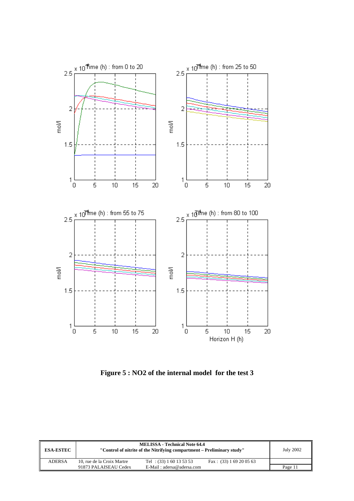

**Figure 5 : NO2 of the internal model for the test 3** 

| <b>ESA-ESTEC</b> |                            | <b>MELISSA - Technical Note 64.4</b><br>"Control of nitrite of the Nitrifying compartment – Preliminary study" |                           | July 2002 |
|------------------|----------------------------|----------------------------------------------------------------------------------------------------------------|---------------------------|-----------|
| <b>ADERSA</b>    | 10, rue de la Croix Martre | Tel : $(33) 1 60 13 53 53$                                                                                     | Fax: $(33)$ 1 69 20 05 63 |           |
|                  | 91873 PALAISEAU Cedex      | $E-Mail: adersa@adersa.com$                                                                                    |                           | Page 11   |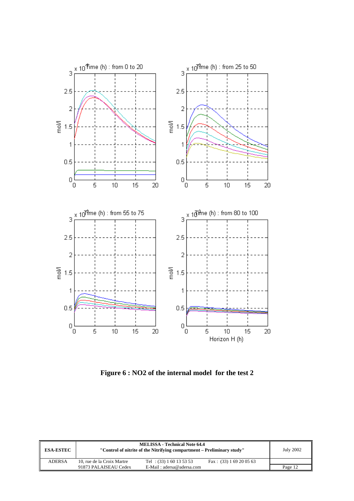

**Figure 6 : NO2 of the internal model for the test 2** 

| <b>ESA-ESTEC</b> |                            | <b>MELISSA - Technical Note 64.4</b><br>"Control of nitrite of the Nitrifying compartment – Preliminary study" |                           | <b>July 2002</b> |
|------------------|----------------------------|----------------------------------------------------------------------------------------------------------------|---------------------------|------------------|
| <b>ADERSA</b>    | 10, rue de la Croix Martre | Tel : $(33) 1 60 13 53 53$                                                                                     | Fax: $(33)$ 1 69 20 05 63 |                  |
|                  | 91873 PALAISEAU Cedex      | E-Mail: adersa@adersa.com                                                                                      |                           | Page 12          |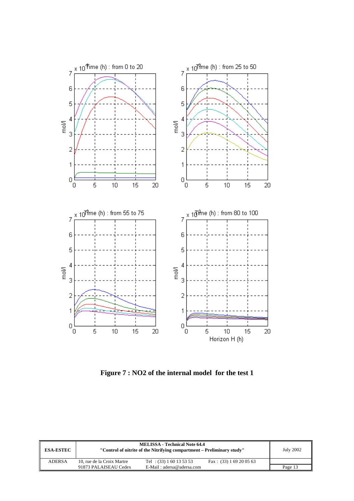

**Figure 7 : NO2 of the internal model for the test 1** 

| <b>ESA-ESTEC</b> |                            | <b>MELISSA - Technical Note 64.4</b><br>"Control of nitrite of the Nitrifying compartment – Preliminary study" |                           | July 2002 |
|------------------|----------------------------|----------------------------------------------------------------------------------------------------------------|---------------------------|-----------|
| <b>ADERSA</b>    | 10, rue de la Croix Martre | Tel : $(33) 1 60 13 53 53$                                                                                     | Fax: $(33)$ 1 69 20 05 63 |           |
|                  | 91873 PALAISEAU Cedex      | E-Mail: adersa@adersa.com                                                                                      |                           | Page 13   |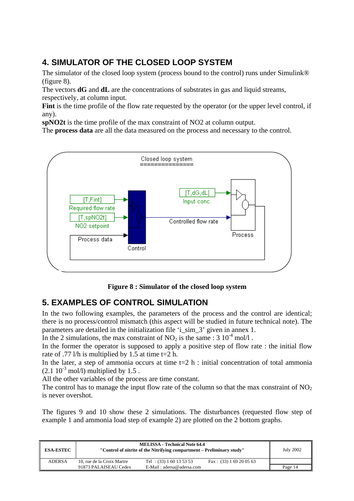# **4. SIMULATOR OF THE CLOSED LOOP SYSTEM**

The simulator of the closed loop system (process bound to the control) runs under Simulink® (figure 8).

The vectors **dG** and **dL** are the concentrations of substrates in gas and liquid streams, respectively, at column input.

**Fint** is the time profile of the flow rate requested by the operator (or the upper level control, if any).

**spNO2t** is the time profile of the max constraint of NO2 at column output.

The **process data** are all the data measured on the process and necessary to the control.



**Figure 8 : Simulator of the closed loop system** 

## **5. EXAMPLES OF CONTROL SIMULATION**

In the two following examples, the parameters of the process and the control are identical; there is no process/control mismatch (this aspect will be studied in future technical note). The parameters are detailed in the initialization file 'i\_sim\_3' given in annex 1.

In the 2 simulations, the max constraint of  $NO<sub>2</sub>$  is the same : 3  $10^{-4}$  mol/l.

In the former the operator is supposed to apply a positive step of flow rate : the initial flow rate of .77 l/h is multiplied by 1.5 at time t=2 h.

In the later, a step of ammonia occurs at time  $t=2$  h : initial concentration of total ammonia  $(2.1 \ 10^{-3} \text{ mol/l})$  multiplied by 1.5.

All the other variables of the process are time constant.

The control has to manage the input flow rate of the column so that the max constraint of  $NO<sub>2</sub>$ is never overshot.

The figures 9 and 10 show these 2 simulations. The disturbances (requested flow step of example 1 and ammonia load step of example 2) are plotted on the 2 bottom graphs.

| <b>ESA-ESTEC</b> |                            | <b>MELISSA - Technical Note 64.4</b><br>"Control of nitrite of the Nitrifying compartment – Preliminary study" |                           | <b>July 2002</b> |
|------------------|----------------------------|----------------------------------------------------------------------------------------------------------------|---------------------------|------------------|
| <b>ADERSA</b>    | 10. rue de la Croix Martre | Tel : $(33) 1 60 13 53 53$                                                                                     | Fax: $(33)$ 1 69 20 05 63 |                  |
|                  | 91873 PALAISEAU Cedex      | E-Mail: adersa@adersa.com                                                                                      |                           | Page 14          |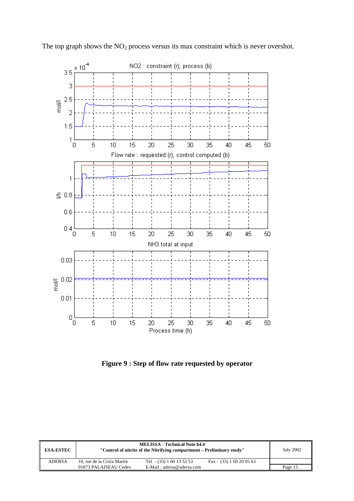

The top graph shows the  $NO<sub>2</sub>$  process versus its max constraint which is never overshot.

**Figure 9 : Step of flow rate requested by operator** 

| <b>ESA-ESTEC</b> |                            | <b>MELISSA - Technical Note 64.4</b><br>"Control of nitrite of the Nitrifying compartment – Preliminary study" |                           | <b>July 2002</b> |
|------------------|----------------------------|----------------------------------------------------------------------------------------------------------------|---------------------------|------------------|
| <b>ADERSA</b>    | 10, rue de la Croix Martre | Tel : $(33) 1 60 13 53 53$                                                                                     | Fax: $(33)$ 1 69 20 05 63 |                  |
|                  | 91873 PALAISEAU Cedex      | E-Mail: adersa@adersa.com                                                                                      |                           | Page 15          |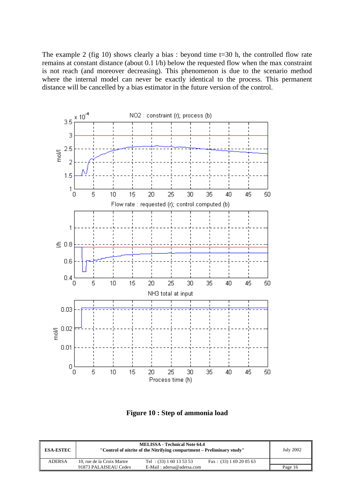The example 2 (fig 10) shows clearly a bias : beyond time t=30 h, the controlled flow rate remains at constant distance (about 0.1 l/h) below the requested flow when the max constraint is not reach (and moreover decreasing). This phenomenon is due to the scenario method where the internal model can never be exactly identical to the process. This permanent distance will be cancelled by a bias estimator in the future version of the control.



**Figure 10 : Step of ammonia load** 

| <b>ESA-ESTEC</b> |                            | <b>MELISSA - Technical Note 64.4</b><br>"Control of nitrite of the Nitrifying compartment – Preliminary study" |                           | <b>July 2002</b> |
|------------------|----------------------------|----------------------------------------------------------------------------------------------------------------|---------------------------|------------------|
| <b>ADERSA</b>    | 10. rue de la Croix Martre | Tel : $(33) 1 60 13 53 53$                                                                                     | Fax: $(33)$ 1 69 20 05 63 |                  |
|                  | 91873 PALAISEAU Cedex      | E-Mail: adersa@adersa.com                                                                                      |                           | Page 16          |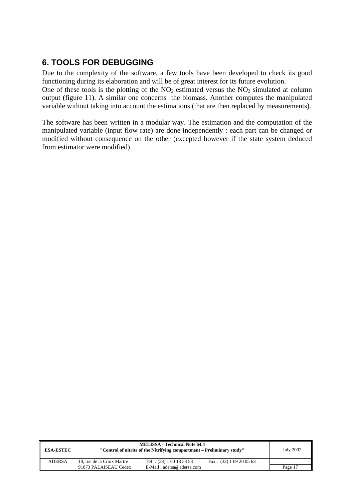## **6. TOOLS FOR DEBUGGING**

Due to the complexity of the software, a few tools have been developed to check its good functioning during its elaboration and will be of great interest for its future evolution. One of these tools is the plotting of the  $NO<sub>2</sub>$  estimated versus the  $NO<sub>2</sub>$  simulated at column

output (figure 11). A similar one concerns the biomass. Another computes the manipulated variable without taking into account the estimations (that are then replaced by measurements).

The software has been written in a modular way. The estimation and the computation of the manipulated variable (input flow rate) are done independently : each part can be changed or modified without consequence on the other (excepted however if the state system deduced from estimator were modified).

| <b>ESA-ESTEC</b> |                            | <b>MELISSA - Technical Note 64.4</b><br>"Control of nitrite of the Nitrifying compartment – Preliminary study" |                           | July 2002 |
|------------------|----------------------------|----------------------------------------------------------------------------------------------------------------|---------------------------|-----------|
| <b>ADERSA</b>    | 10, rue de la Croix Martre | Tel : $(33) 1 60 13 53 53$                                                                                     | Fax: $(33) 1 69 20 05 63$ |           |
|                  | 91873 PALAISEAU Cedex      | $E-Mail : adersa@adersa.com$                                                                                   |                           | Page 17   |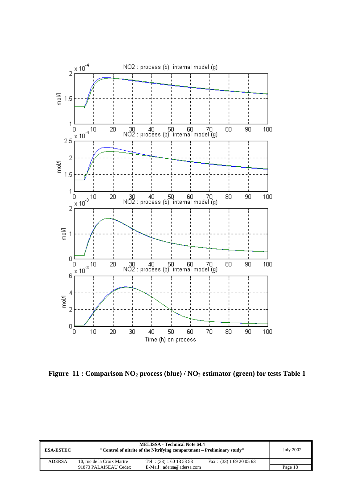

Figure 11 : Comparison NO<sub>2</sub> process (blue) / NO<sub>2</sub> estimator (green) for tests Table 1

| <b>ESA-ESTEC</b> |                            | <b>MELISSA - Technical Note 64.4</b><br>"Control of nitrite of the Nitrifying compartment – Preliminary study" |                           |         |
|------------------|----------------------------|----------------------------------------------------------------------------------------------------------------|---------------------------|---------|
| <b>ADERSA</b>    | 10, rue de la Croix Martre | Tel : $(33) 1 60 13 53 53$                                                                                     | Fax: $(33)$ 1 69 20 05 63 |         |
|                  | 91873 PALAISEAU Cedex      | E-Mail: adersa@adersa.com                                                                                      |                           | Page 18 |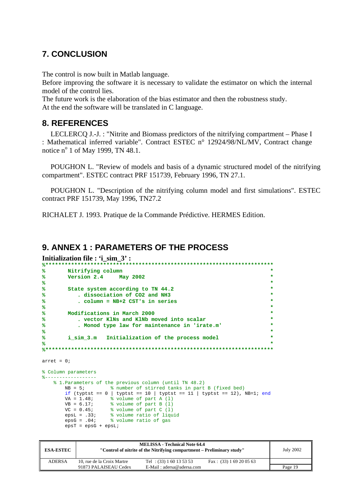### **7. CONCLUSION**

The control is now built in Matlab language.

Before improving the software it is necessary to validate the estimator on which the internal model of the control lies.

The future work is the elaboration of the bias estimator and then the robustness study. At the end the software will be translated in C language.

### **8. REFERENCES**

LECLERCQ J.-J. : "Nitrite and Biomass predictors of the nitrifying compartment – Phase I : Mathematical inferred variable". Contract ESTEC n° 12924/98/NL/MV, Contract change notice  $n^{\circ}$  1 of May 1999, TN 48.1.

POUGHON L. "Review of models and basis of a dynamic structured model of the nitrifying compartment". ESTEC contract PRF 151739, February 1996, TN 27.1.

POUGHON L. "Description of the nitrifying column model and first simulations". ESTEC contract PRF 151739, May 1996, TN27.2

RICHALET J. 1993. Pratique de la Commande Prédictive. HERMES Edition.

### **9. ANNEX 1 : PARAMETERS OF THE PROCESS**

**Initialization file : 'i\_sim\_3' :** 

```
%***********************************************************************
% Nitrifying column *
\frac{8}{2} Version 2.4
% *
% State system according to TN 44.2 *
% . dissociation of CO2 and NH3 *
% . column = NB+2 CST's in series *
% *
% Modifications in March 2000 *
% . vector KlNs and KlNb moved into scalar *
% . Monod type law for maintenance in 'irate.m' *
% *
% i_sim_3.m Initialization of the process model *
% *
%***********************************************************************
arret = 0;% Column parameters
%------------------
   % 1.Parameters of the previous column (until TN 48.2)
              * number of stirred tanks in part B (fixed bed)
     if (typtst == 0 | typtst == 10 | typtst == 11 | typtst == 12), NB=1; end
     VA = 1.48; % volume of part A (1)
VB = 6.17; % volume of part B (1)
VC = 0.45; % volume of part C(1) epsL = .33; % volume ratio of liquid
 epsG = .04; % volume ratio of gas
     epsT = epsG + epsLi
```

| <b>ESA-ESTEC</b> |                            | <b>MELISSA - Technical Note 64.4</b><br>"Control of nitrite of the Nitrifying compartment – Preliminary study" |                           | <b>July 2002</b> |
|------------------|----------------------------|----------------------------------------------------------------------------------------------------------------|---------------------------|------------------|
| <b>ADERSA</b>    | 10, rue de la Croix Martre | Tel : $(33) 1 60 13 53 53$                                                                                     | Fax: $(33)$ 1 69 20 05 63 |                  |
|                  | 91873 PALAISEAU Cedex      | $E-Mail: adersa@adersa.com$                                                                                    |                           | Page 19          |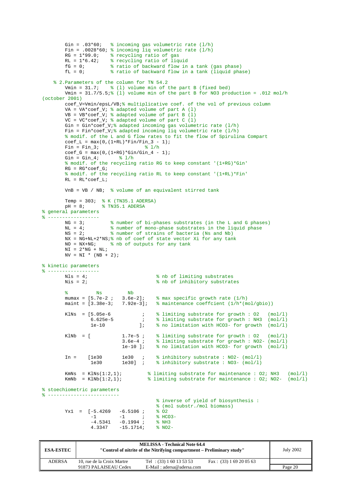```
Gin = .03*60; % incoming gas volumetric rate (1/h)
         Fin = .0028*60; \text{\$ incoming } liq volumetric rate (1/h)<br>RG = 1*99.0; \text{\$ recycling ratio of gas}RG = 1*99.0; % recycling ratio of gas<br>RL = 1*6.42; % recycling ratio of light
                          % recycling ratio of liquid
         fG = 0; % ratio of backward flow in a tank (gas phase)<br>fL = 0; % ratio of backward flow in a tank (liquid pha
                          % ratio of backward flow in a tank (liquid phase)
    % 2. Parameters of the column for TN 54.2<br>Vmin = 31.7; % (1) volume min of t
                         % (1) volume min of the part B (fixed bed)
         Vmin = 31.7/5.5; (1) volume min of the part B for NO3 production = .012 mol/h
(october 2001)
          coef_V=Vmin/epsL/VB;% multiplicative coef. of the vol of previous column
          VA = VA*coef_V; % adapted volume of part A (l)
         VB = VB * coef\_Vi * adapted volume of part B (1)VC = VC*coef_V; % adapted volume of part C (1)Gin = Gin*coef_V;% adapted incoming gas volumetric rate (l/h) Fin = Fin*coef_V;% adapted incoming liq volumetric rate (l/h)
          % modif. of the L and G flow rates to fit the flow of Spirulina Compart
         coef_L = max(0, (1+RL)*Fin/Fin_3 - 1);<br>Fin = Fin 3;<br>\frac{2}{3} /h
         Fin = Fin_3;
         \overline{\c{code_G}} = \overline{\max(0, (1+RG)*Gin/Gin_4 - 1)};
         Gin = G_{1n_4}; \frac{1}{h_4} % modif. of the recycling ratio RG to keep constant '(1+RG)*Gin'
         RG = RG*coef_G; % modif. of the recycling ratio RL to keep constant '(1+RL)*Fin'
         RL = RL*coeff_L; VnB = VB / NB; % volume of an equivalent stirred tank
Temp = 303; % K (TN35.1 ADERSA)
 pH = 8; % TN35.1 ADERSA
% general parameters
% ------------------
         NG = 3; % number of bi-phases substrates (in the L and G phases)
          NL = 4; % number of mono-phase substrates in the liquid phase
         NS = 2; \text{\$ number of strains of bacteria (Ns and Nb)}NX = NG+NL+2*NS; and of coef of state vector Xi for any tank<br>NO = NX+NG; <br>& nb of outputs for any tank
                          % nb of outputs for any tank
        NI = 2*NG + NL;NV = NI * (NB + 2);% kinetic parameters
% ------------------
        Nls = 4;<br>Nis = 2;<br>Nis = 2;<br>Nis = 3% nb of inhibitory substrates
        % Ns Nb<br>mumax = [5.7e-2 ; 3.6e-2];<br>maint = [3.38e-3; 7.92e-3];
         mumax = [5.7e-2; 3.6e-2]; % max specific growth rate (1/h) maint = [3.38e-3; 7.92e-3]; % maintenance coeffcient (1/h*(m))\frac{3}{8} maintenance coeffcient (1/h*(mol/gbio))
KlNs = [5.05e-6 ; % limiting substrate for growth : 02 (mol/l)
 6.625e-5 ; % limiting substrate for growth : NH3 (mol/l)
                    1e-10 ]; % no limitation with HCO3- for growth (mol/l)
         KlNb = [ 1.7e-5; % limiting substrate for growth : 02 (mol/l)<br>3.6e-4; % limiting substrate for growth : NO2- (mol/l)
                                 3.6e-4 ; % limiting substrate for growth : NO2- (mol/l)
                                             % no limitation with HCO3- for growth (mol/l)
         In = [1e30 \t 1e30 \t 3e30]; % inhibitory substrate : NO2- (mol/l)<br>1e30 1e30l ; % inhibitory substrate : NO3- (mol/l)
                                             \frac{1}{2} inhibitory substrate : NO3- (mol/l)
         KmNs = KlNs(1:2,1); \frac{1}{2} a limiting substrate for maintenance : 02; NH3 (mol/l)
         KmNb = KlNb(1:2,1); \frac{1}{2} a limiting substrate for maintenance : 02; NO2- (mol/l)
% stoechiometric parameters
         % -------------------------
                                              % inverse of yield of biosynthesis :
                                              % (mol substr./mol biomass)
         \begin{array}{cccccc} \text{Yx1} & = & [-5.4269 & -6.5106 & ; & & \& \text{O2} \\ & & -1 & & -1 & ; & & \& \text{HCl} \end{array}-1 -1 ; % HCO3-
-4.5341 -0.1994 ; % NH3
                    4.3347 -15.1714; % NO2-
```

| <b>ESA-ESTEC</b> |                            | <b>MELISSA - Technical Note 64.4</b><br>"Control of nitrite of the Nitrifying compartment – Preliminary study" |                           | <b>July 2002</b> |
|------------------|----------------------------|----------------------------------------------------------------------------------------------------------------|---------------------------|------------------|
| <b>ADERSA</b>    | 10, rue de la Croix Martre | Tel : $(33) 1 60 13 53 53$                                                                                     | Fax: $(33)$ 1 69 20 05 63 |                  |
|                  | 91873 PALAISEAU Cedex      | $E-Mail : adersa@adersa.com$                                                                                   |                           | Page 20          |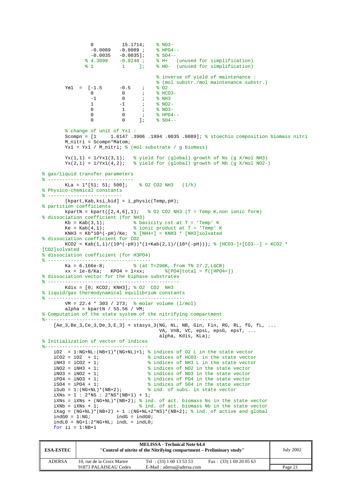```
0 15.1714; \frac{1}{8} NO3-<br>-0.0089 -0.0089; \frac{1}{8} HPO4--
                        -0.0089 -0.0089; \frac{8 \text{ HPO4}}{-0.0035} -0.0035]; \frac{8 \text{ SO4}}{-0.0035}-0.0035 -0.0035];<br> % 4.3099 -0.0248;
 % 4.3099 -0.0248 ; % H+ (unused for simplification)
 % 1 1 ]; % HO- (unused for simplification)
                                                          % inverse of yield of maintenance :
                                      \frac{1}{2} (mol substr./mol maintenance substr.)<br>-0.5 \cdot\frac{1}{2} \cdot\frac{2}{3} 02
           Ym1 = [-1.5 -0.5 ;<br>0 0 ;
                                       0 ; \frac{1}{2} HCO3-<br>0 ; \frac{1}{2} NH3
                        \begin{matrix} -1 & 0 & i & * & \texttt{N}\texttt{H}3 \\ 1 & -1 & i & * & \texttt{N}02 \end{matrix}1 -1 ; \frac{1}{2} \frac{1}{2} \frac{1}{2} \frac{1}{2} \frac{1}{2} \frac{1}{2} \frac{1}{2} \frac{1}{2} \frac{1}{2} \frac{1}{2} \frac{1}{2} \frac{1}{2} \frac{1}{2} \frac{1}{2} \frac{1}{2} \frac{1}{2} \frac{1}{2} \frac{1}{2} \frac{1}{2} \frac{1}{2} \frac{1}{2} \frac0 1 ; \frac{1}{8} NO3-<br>0 ; \frac{1}{8} HPO4
                        0 0 \frac{1}{8} \frac{1}{8} \frac{1}{9} \frac{1}{9} \frac{1}{9} \frac{1}{9} \frac{1}{9} \frac{1}{9} \frac{1}{9} \frac{1}{9} \frac{1}{9} \frac{1}{9} \frac{1}{9} \frac{1}{9} \frac{1}{9} \frac{1}{9} \frac{1}{9} \frac{1}{9} \frac{1}{9} \frac{1}{9} \frac{1}{9} \frac{1}{9$04- % change of unit of Yx1 :
            Scompn = [1 1.6147 .3906 .1994 .0035 .0089]; % stoechio composition biomass nitri
            M_nitri = Scompn*Matom; 
           \overline{Yx1} = Yx1 / M_nitri; % (mol substrate / g biomass)
Yx(1,1) = 1/Yx1(3,1); % yield for (global) growth of Ns (g X/mol NH3)
Yx(2,1) = 1/Yx1(4,2); % yield for (global) growth of Nb (g X/mol NO2-)
% gas/liquid transfer parameters
% ------------------------------
                                              \frac{1}{2} 02 CO2 NH3 (1/h)
% Physico-chemical constants
% --------------------------
            [kpart,Kab,ksi_bid] = i_physic(Temp,pH); 
% partition coefficients
          kpartN = kpart([2,4,6],1); % 02 CO2 NH3 (T = Temp K,non ionic form)
% dissociation coefficient (for NH3)<br>
\begin{array}{ccc}\n\text{kb} & = & \text{Kab}(3,1); & \text{b} \\
\text{kb} & = & \text{Vb} \\
\text{b} & \text{A} & \text{A}\n\end{array}% basicity cst at T = 'Temp' K
           Ke = Kab(4,1); % ionic product at T = 'Temp' K
           KNH3 = Kb*10^(-pH)/Ke; \frac{1}{2} [NH4+] = KNH3 * [NH3]solvated
% dissociation coefficient for CO2
           KCO2 = Kab(1,1)/(10^*(-pH))*(1+Kab(2,1)/(10^*(-pH))); % [HCO3-]+[CO3--] = KCO2 *
[CO2]solvated
% dissociation coefficient (for H3PO4)
% ------------------------------------
                                           k (at T=298K, from TN 27.2, LGCB)
          xx = 1e-8/Ka; KPO4 = 1+xx; \{(PO4|total = f([HPO4=])% dissociation vector for the biphase substrates
% ----------------------------------------------
          Kdis = [0; KCO2; KNH3]; % 02 CO2 NH3
% liquid/gas thermodynamical equilibrium constants
\frac{9}{2} ----------
            VM = 22.4 * 303 / 273; % molar volume (l/mol)
          alpha = kpartN / 55.56 / VM;
% Computation of the state system of the nitrifying compartment
%--------------------------------------------------------------
    [Ae_3,Be_3,Ce_3,De_3,EL_3] = stays_3(NG, NL, NB, Gin, Fin, RG, RL, fg, FL, ... VA, VnB, VC, epsL, epsG, epsT, ...
                                                            alpha, Kdis, KLa); 
% Initialization of vector of indices
%------------------------------------
     iO2 = 1:NG+NL:(NB+1)*(NG+NL)+1; % indices of O2 L in the state vector iCO2 = iO2 + 1; % indices of HCO3- in the state vector
     iCO2 = iO2 + 1; % indices of HCO3- in the state vector<br>iNH3 = iCO2 + 1; % indices of NH3 L in the state vector
      iNH3 = iCO2 + 1; % indices of NH3 L in the state vector
     \frac{1}{1002} = \frac{1}{1003} = \frac{1}{1002} + 1; \frac{1}{1003} = \frac{1}{1003} = \frac{1}{1003} = \frac{1}{1003} = \frac{1}{1003} = \frac{1}{1003} = \frac{1}{1003} = \frac{1}{1003} = \frac{1}{1003} = \frac{1}{1003} = \frac{1}{1003} = \frac{1}{10% indices of NO3 in the state vector
     iPO4 = iNO3 + 1;<br>iSO4 = iPO4 + 1;<br>iiSO4 = iPO4 + 1;<br>iiiC = 1<br>ivD4 = 1PO4 + 1;<br>ivD5 = 1504<br>ivD6 = 1504<br>ivD7 = 1504<br>ivD8 = 1504<br>ivD9 = 1504<br>ivD9 = 1504<br>ivD9 = 1504<br>ivD1 = 1504<br>ivD1 = 1504<br>ivD1 = 1504<br>ivD1 = 1504<br>ivD1 = 1504<br>ivD1 = 1504<br>
                                                     % indices of SO4 in the state vector
     iSub = 1:(NG+NL)*(NB+2); % ind. of subs. in state vector
     iXNs = 1 : 2*NS : 2*NS*(NB+1) + 1;iXNs = iXNs + (NG+NL)*(NB+2); % ind. of act. biomass Ns in the state vector iXNb = iXNs + 1; % ind. of act. biomass Nb in the state vector
                                                % ind. of act. biomass Nb in the state vector
     iXag = (NG+NL)*(NB+2) + 1 : (NG+NL+2*NS)*(NB+2); % ind. of active and globalindG0 = 1:NG; indG = indG0;indL0 = NG+1:2*NG+NL; indL = indL0;for ii = 1:NB+1
```

| <b>ESA-ESTEC</b> |                            | <b>MELISSA - Technical Note 64.4</b><br>"Control of nitrite of the Nitrifying compartment – Preliminary study" |                           | July 2002 |
|------------------|----------------------------|----------------------------------------------------------------------------------------------------------------|---------------------------|-----------|
| <b>ADERSA</b>    | 10, rue de la Croix Martre | Tel : $(33) 1 60 13 53 53$                                                                                     | Fax: $(33)$ 1 69 20 05 63 |           |
|                  | 91873 PALAISEAU Cedex      | $E-Mail : adersa@adersa.com$                                                                                   |                           | Page 21   |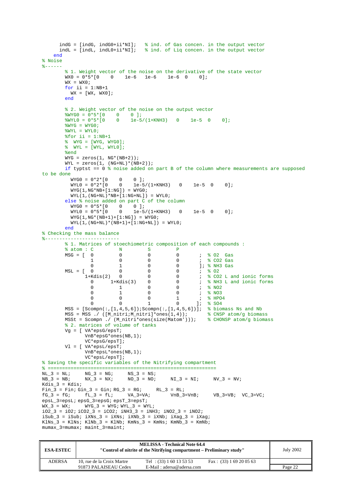```
 indG = [indG, indG0+ii*NI]; % ind. of Gas concen. in the output vector
 indL = [indL, indL0+ii*NI]; % ind. of Liq concen. in the output vector
     end
% Noise
% - - - - - % 1. Weight vector of the noise on the derivative of the state vector
         WX0 = 0*5*[0 \t 0 \t 1e-6 \t 1e-6 \t 1e-6 \t 0 \t 0];WX = WX0;for ii = 1:NB+1WX = [WX, WX0]; end
          % 2. Weight vector of the noise on the output vector
WYGO = 0*5*[0 0 0]; %WYL0 = 0*5*[0 0 1e-5/(1+KNH3) 0 1e-5 0 0];
         WYG = WYG0; %WYL = WYL0;
         *for ii = 1:NB+1 % WYG = [WYG, WYG0];
          % WYL = [WYL, WYL0];
          %end
         \texttt{WYG} \ = \ \texttt{zeros(1, NG*(NB+2))} \; ;\texttt{WYL = zeros(1, (NG+NL)* (NB+2));}if typtst == 0 % noise added on part B of the column where measurements are supposed
to be done<br>WYG0 = 0*2*10WYGO = 0*2*[0 0 0];WYLO = 0*2*(0 0 1e-5/(1+KNH3) 0 1e-5 0 0];
            WYG(1, NG*NB+[1:NG]) = WYG0;WYL(1,(NG+NL)*NB+[1:NG+NL]) = WYL0; else % noise added on part C of the column
WYGO = 0*5*[0 0 0];WYLO = 0*5*(0 \t 0 \t 1e-5/(1+KNH3) \t 0 \t 1e-5 \t 0 \t 0);WYG(1, NG^*(NB+1) + [1:NG]) = WYG0;\texttt{WYL(1,(NG+NL)*(NB+1)+[1:NG+NL]) = WYL0}; end
% Checking the mass balance
              %--------------------------
          % 1. Matrices of stoechiometric composition of each compounds :
         % atom : C N S P
         MSG = [ 0 0 0 0 ; % O2 Gas<br>1 0 0 0 ; % CO2 Gas
                    \begin{array}{ccccccc} 1 & & 0 & & 0 & & 0 & & \text{;} & \text{\$CO2 Gas} \ 0 & & 1 & & 0 & & 0 & & \text{] & \text{\$M13 Gas} \end{array}\begin{array}{ccccccccc}\n & & & & & & 0 & & 1 & & 0 & & 0 & & 1; & 8 \text{ NH3 Gas} \\
 & & & & & & & & & 0 & & 0 & & 1; & 8 \text{ OH3 Gas} \\
 & & & & & & & & 0 & & 0 & & 0 & & 8 \text{ CO2 Las} \\
 & & & & & & & 1+K \text{dis}(2) & 0 & 0 & 0 & 0 & & 0 & 8 \text{ CO2 La} \\
\end{array}1+Kdis(2) 0
                    0 0 0 0 0 ; % O2<br>-Kdis(2) 0 0 0 ; % CO2 L and ionic forms<br>0 1+Kdis(3) 0 0 ; % NH3 L and ionic forms
                               0 1+Kdis(3) 0 0 ; % NH3 L and ionic forms
                    \begin{array}{ccccccc}\n0 & & 1 & & 0 & & 0 & ; & * \text{ NO2} \\
0 & & 1 & & 0 & & 0 & ; & * \text{ NO3}\n\end{array}0 \t 1 \t 0 \t 0 \t ; \t 8 N03\begin{matrix} 0 & 0 & 0 & 1 \\ 0 & 0 & 1 & 0 \\ 0 & 0 & 1 & 0 \end{matrix} \quad , \quad \begin{matrix} \text{\&} \text{HPO4} \\ \text{\&} \text{SO4} \end{matrix}1: % SO4
         MSS = [Scompn(:,[1,4,5,6]);Scompn(:,[1,4,5,6])]; % biomass Ns and Nb
 MSS = MSS ./ ([M_nitri;M_nitri]*ones(1,4)); % CNSP atom/g biomass
 MSSt = Scompn ./ (M_nitri*ones(size(Matom'))); % CHONSP atom/g biomass
         % 2. matrices of volume of tanks
          Vg = [ VA*epsG/epsT; 
                   VnB*epsG*ones(NB,1); 
                   VC*epsG/epsT]; 
          Vl = [ VA*epsL/epsT; 
                   VnB*epsL*ones(NB,1); 
                   VC*epsL/epsT]; 
% Saving the specific variables of the Nitrifying compartment
% ===========================================================
NL_3 = NL; NG_3 = NG; NS_3 = NS;NB\_3 = NB; NX\_3 = Nx; NO\_3 = NO; NI\_3 = NI; NV\_3 = NV;Kdis 3 = Kdis;
Fin_3 = Fin; Gin_3 = Gin; RG_3 = RG; RL_3 = RL;<br>fG 3 = fG; fL 3 = fL; VA 3=VA; VnR 3=VnR;
fG_3 = fG; fL_3 = fL; VA_3=VA; VnB_3=VnB; VB_3=VB; VC_3=VC;
epsL_3=epsL; epsG_3=epsG; epsT_3=epsT; 
\overline{WX\_3} = \overline{WX}; \overline{WFG\_3} = \overline{WYG}; \overline{WYL\_3} = \overline{WYL};
\overline{102}_3 = \overline{102}; \overline{1002}_3 = \overline{1002}; \overline{1}NH3_3 = \overline{1}NH3; \overline{1}N02_3 = \overline{1}N02;
iSub_3 = iSub; iXNs_3 = iXNs; iXNb_3 = iXNb; iXag_3 = iXag;KlNs_3 = KlNs; KlNb_3 = KlNb; KmNs_3 = KmNs; KmNb_3 = KmNb;
mumax 3=mumax; maint 3=maint;
```

| <b>ESA-ESTEC</b> |                            | <b>MELISSA - Technical Note 64.4</b><br>"Control of nitrite of the Nitrifying compartment – Preliminary study" |                           | <b>July 2002</b> |
|------------------|----------------------------|----------------------------------------------------------------------------------------------------------------|---------------------------|------------------|
| <b>ADERSA</b>    | 10, rue de la Croix Martre | Tel : $(33) 1 60 13 53 53$                                                                                     | Fax: $(33)$ 1 69 20 05 63 |                  |
|                  | 91873 PALAISEAU Cedex      | E-Mail: adersa@adersa.com                                                                                      |                           | Page 22          |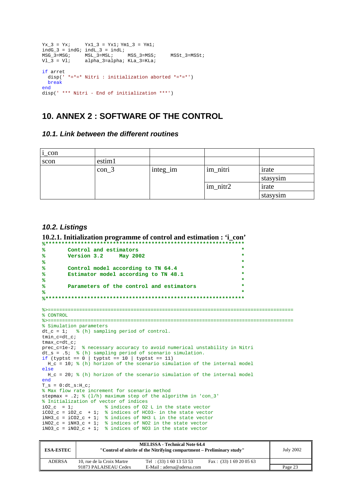```
Yx_3 = Yx; Yx1_3 = Yx1; Ym1_3 = Ym1;
indG_3 = indG; indL_3 = indL;<br>
MSG 3=MSG; MSL 3=MSL;
MSG_3 = MSG; MSL_3 = MSL; MSS_3 = MSS; MSSt_3 = MSSt;<br>V1_3 = V1; alpha<sub>-3</sub>=alpha; KLa_3 = KLa;
                  alpha_3=alpha; KLa_3=KLa;
if arret 
  disp(' *=*=* Nitri : initialization aborted *=*=*')
   break
end
disp(' *** Nitri - End of initialization ***')
```
### **10. ANNEX 2 : SOFTWARE OF THE CONTROL**

*10.1. Link between the different routines* 

| $i_{con}$ |         |          |          |          |
|-----------|---------|----------|----------|----------|
| scon      | estim1  |          |          |          |
|           | $con_3$ | integ_im | im_nitri | irate    |
|           |         |          |          | stasysim |
|           |         |          | im_nitr2 | irate    |
|           |         |          |          | stasysim |

#### *10.2. Listings*

```
10.2.1. Initialization programme of control and estimation : 'i_con' 
%**************************************************************
% Control and estimators *
% Version 3.2 May 2002 *
% *
% Control model according to TN 64.4 *
       Estimator model according to TN 48.1
% *
% Parameters of the control and estimators *
% *
%**************************************************************
%>======================================================================================
% CONTROL
%>======================================================================================
% Simulation parameters
dt_c = 1; \frac{1}{6} (h) sampling period of control.
tmin_c=dt_c; 
tmax_c=dt_c; 
prec_c=1e-2; % necessary accuracy to avoid numerical unstability in Nitri
dt_s = .5; % (h) sampling period of scenario simulation.
if (typtst == 0 | typtst == 10 | typtst == 11)
  H_c = 10; % (h) horizon of the scenario simulation of the internal model
else
 H_c = 20; % (h) horizon of the scenario simulation of the internal model
end
T_s = 0:dt_s:H_c;% Max flow rate increment for scenario method
stepmax = .2i; (1/h) maximum step of the algorithm in 'con 3'
% Initialization of vector of indices<br>iO2_c = 1; % indices of O2
                  % indices of 02 L in the state vector
iCO2_C = iO2_C + 1; % indices of HCO3- in the state vector
iNH3_c = iCO2_c + 1; % indices of NH3 L in the state vector
iNO2_c = iNH3_c + 1; % indices of NO2 in the state vector
\overline{1} iNO3<sub>_c</sub> = \overline{1}NO3<sub>_c</sub> + 1; % indices of NO3 in the state vector
```

| <b>ESA-ESTEC</b> |                            | <b>MELISSA</b> - Technical Note 64.4<br>"Control of nitrite of the Nitrifying compartment – Preliminary study" |                           | <b>July 2002</b> |
|------------------|----------------------------|----------------------------------------------------------------------------------------------------------------|---------------------------|------------------|
| <b>ADERSA</b>    | 10, rue de la Croix Martre | Tel : $(33) 1 60 13 53 53$                                                                                     | Fax: $(33)$ 1 69 20 05 63 |                  |
|                  | 91873 PALAISEAU Cedex      | E-Mail: adersa@adersa.com                                                                                      |                           | Page 23          |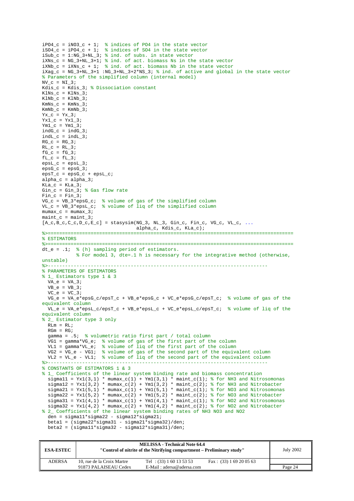```
iPO4_c = iNO3_c + 1; % indices of PO4 in the state vector iSO4 c = iPO4_c + 1; % indices of SO4 in the state vector
                       % indices of SO4 in the state vector
isub_c = 1:NG_3+NL_3; % ind. of subs. in state vector
iXNs_c = NG_3+NL_3+1; % ind. of act. biomass Ns in the state vector
iXNb_c = iXNs_c + 1; % ind. of act. biomass Nb in the state vector
iXag_c = NG_3+NL_3+1 :NG_3+NL_3+2*NS_3; % ind. of active and global in the state vector
% Parameters of the simplified column (internal model)
NVC = NI 3;
Kdis_c = Kdis_3; % Dissociation constant
KlNs_c = KlNs_3;KlNb_c = KlNb_3;KmNs_{c} = KmNs_{3};
KmNb_{c} = KmNb_{3};
Yx_c = Yx_3;Yx1_c = Yx1_3;Ym1_c = Ym1_3;indG_c = indG_3;indL_c = indL_3;RG_c = RG_3;RL_C = RL_3;fG_c = fG_3;
fL_C = fL_3;epsL_c = epsL_3;epsG_c =epsG_3;epsT_c =epsG_c +epsL_c;alpha_c = alpha_3;
KLa_c = KLa_3;Gin_c = Gin_3; % Gas flow rate
Fin c = Fin 3;
VG_c = VB_3*epsG_c; % volume of gas of the simplified column
VL_c = VB_3*epsL_c; % volume of liq of the simplified column
mumaxc = mumax 3i\frac{1}{\text{maint}} = \frac{1}{\text{maint}} 3;
[A_c, B_c, C_c, D_c, E_c] = stasysim(NG_3, NL_3, Gin_c, Fin_c, VG_c, VL_c, ...
                                    alpha_c, Kdis_c, KLa_c); 
%>======================================================================================
% ESTIMATORS
%>======================================================================================
dt_e = .1; % (h) sampling period of estimators.
              % For model 3, dte=.1 h is necessary for the integrative method (otherwise, 
unstable)<br>* -------
%>-----------------------------------------------------------------------------
% PARAMETERS OF ESTIMATORS
% 1_ Estimators type 1 & 3
  VA_e = VA_3;VB_e = VB_3;VC_e = VC_3; VG_e = VA_e*epsG_c/epsT_c + VB_e*epsG_c + VC_e*epsG_c/epsT_c; % volume of gas of the 
equivalent column
   VL_e = VA_e*epsL_c/epsT_c + VB_e*epsL_c + VC_e*epsL_c/epsT_c; % volume of liq of the 
equivalent column
% 2_ Estimator type 3 only
  RLm = RL;
  RGm = RG;
   gamma = .5; % volumetric ratio first part / total column
   VG1 = gamma*VG_e; % volume of gas of the first part of the column
   VL1 = gamma*VL_e; % volume of liq of the first part of the column
   VG2 = VG_e - VG1; % volume of gas of the second part of the equivalent column
 VL2 = VL_e - VL1; % volume of liq of the second part of the equivalent column
                  %>-----------------------------------------------------------------------------
% CONSTANTS OF ESTIMATORS 1 & 3
% 1_ Coefficients of the linear system binding rate and biomass concentration
  signal1 = Yx1(3,1) * mmax_c(1) + Ym1(3,1) * maint_c(1); % for NH3 and Nitrosomonas\sigma sigmal2 = Yx1(3,2) * mumax_c(2) + Ym1(3,2) * maint_c(2); % for NH3 and Nitrobacter
  s_j = S_j = S_j = S_j = S_j = S_j = S_j = S_j = S_j = S_j = S_j = S_j = S_j = S_j = S_j = S_j = S_j = S_j = S_j = S_j = S_j = S_j = S_j = S_j = S_j = S_j = S_j = S_j = S_j = S_j = S_j = S_js_1(5,2) * mumax_c(2) + Ym1(5,2) * maint_c(2); % for NO3 and Nitrobacter<br>sigma22 = Yx1(5,2) * mumax_c(2) + Ym1(5,2) * maint_c(2); % for NO3 and Nitrobacter
  sigma31 = Yx1(4,1) * mmax_c(1) + Ym1(4,1) * main_c(1); % for NO2 and Nitrosomonassigma32 = Yx1(4,2) * mux_c(2) + Ym1(4,2) * main_c(2); % for NO2 and Nitrobacter
% 2_ Coefficients of the linear system binding rates of NH3 NO3 and NO2
   den = sigma11*sigma22 - sigma12*sigma21; 
   beta1 = (sigma22*sigma31 - sigma21*sigma32)/den; 
  beta2 = (sigma1*sigma32 - sigma12*sigma12*)
```

| <b>ESA-ESTEC</b> |                            | <b>MELISSA - Technical Note 64.4</b><br>"Control of nitrite of the Nitrifying compartment – Preliminary study" |                           | <b>July 2002</b> |
|------------------|----------------------------|----------------------------------------------------------------------------------------------------------------|---------------------------|------------------|
| <b>ADERSA</b>    | 10. rue de la Croix Martre | Tel : $(33) 1 60 13 53 53$                                                                                     | Fax: $(33)$ 1 69 20 05 63 |                  |
|                  | 91873 PALAISEAU Cedex      | $E-Mail : adersa@adersa.com$                                                                                   |                           | Page 24          |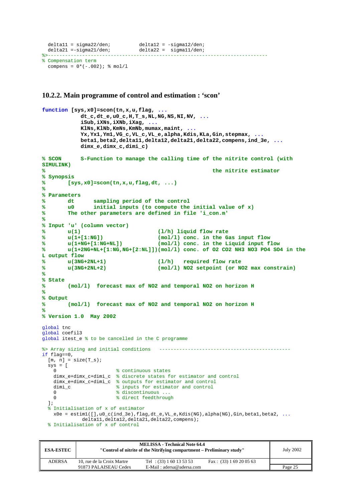```
deltal1 = sigma22/den;<br>deltal2 = -sigma12/den;
delta21 =-sigma21/den; delta22 = sigma11/den;
%>-----------------------------------------------------------------------------
% Compensation term 
 compens = 0*(-.002); % mol/l
```
#### **10.2.2. Main programme of control and estimation : 'scon'**

```
function [sys,x0]=scon(tn,x,u,flag, ...
             dt_c,dt_e,u0_c,H,T_s,NL,NG,NS,NI,NV, ...
             iSub,iXNs,iXNb,iXag, ...
             KlNs,KlNb,KmNs,KmNb,mumax,maint, ...
             Yx,Yx1,Ym1,VG_c,VL_c,VL_e,alpha,Kdis,KLa,Gin,stepmax, ...
             beta1,beta2,delta11,delta12,delta21,delta22,compens,ind_3e, ...
             dimx_e,dimx_c,dimi_c) 
% SCON S-Function to manage the calling time of the nitrite control (with 
SIMULINK)
% the nitrite estimator
% Synopsis
% [sys,x0]=scon(tn,x,u,flag,dt, ...)
%
% Parameters
% dt sampling period of the control
% u0 initial inputs (to compute the initial value of x)
% The other parameters are defined in file 'i_con.m'
%
% Input 'u' (column vector)
% u(1) (l/h) liquid flow rate
% u(1+[1:NG]) (mol/l) conc. in the Gas input flow 
% u(1+NG+[1:NG+NL]) (mol/l) conc. in the Liquid input flow 
       % u(1+2NG+NL+[1:NG,NG+[2:NL]])(mol/l) conc. of O2 CO2 NH3 NO3 PO4 SO4 in the 
L output flow 
% u(3NG+2NL+1) (l/h) required flow rate 
% u(3NG+2NL+2) (mol/l) NO2 setpoint (or NO2 max constrain) 
%
% State
% (mol/l) forecast max of NO2 and temporal NO2 on horizon H
%
% Output
        % (mol/l) forecast max of NO2 and temporal NO2 on horizon H
%
% Version 1.0 May 2002
global tnc 
global coefil3 
global itest_e % to be cancelled in the C programme
%> Array sizing and initial conditions ----------------------------------------------
if flag==0.
 [m, n] = size(T_s);sys = [0 % continuous states
    dimx_e+dimx_c+dimi_c % discrete states for estimator and control
   dimx_e+dimx_c+dimi_c % outputs for estimator and control<br>dimi_c % inputs for estimator and control
                      % inputs for estimator and control
   0 % discontinuous ...
   0 % direct feedthrough
   ]; 
   % Initialisation of x of estimator
   x0e = \text{estim1}([], u0_c(\text{ind}_3e), \text{flag}, dt_e, \text{VL}_e, \text{Kdis}(NG), \text{alpha}(NG), \text{Gin}, \text{beta}, \text{beta2}, \ldots) delta11,delta12,delta21,delta22,compens); 
  % Initialisation of x of control
```

| <b>ESA-ESTEC</b> |                            | <b>MELISSA - Technical Note 64.4</b><br>"Control of nitrite of the Nitrifying compartment – Preliminary study" |                           | July 2002 |
|------------------|----------------------------|----------------------------------------------------------------------------------------------------------------|---------------------------|-----------|
| <b>ADERSA</b>    | 10, rue de la Croix Martre | Tel : $(33) 1 60 13 53 53$                                                                                     | Fax: $(33)$ 1 69 20 05 63 |           |
|                  | 91873 PALAISEAU Cedex      | E-Mail: adersa@adersa.com                                                                                      |                           | Page 25   |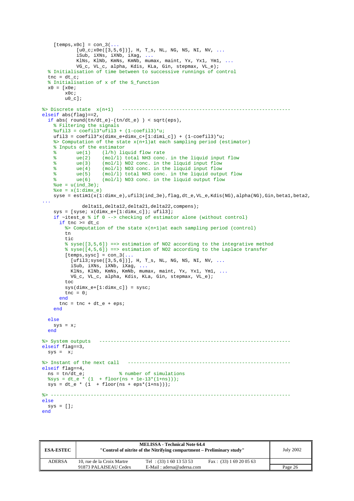```
[ temps, x0c] = con_3(...
            [u0\;c\,ix0e([3,5,6])), H, T s, NL, NG, NS, NI, NV, ...
             iSub, iXNs, iXNb, iXag, ...
             KlNs, KlNb, KmNs, KmNb, mumax, maint, Yx, Yx1, Ym1, ...
             VG_c, VL_c, alpha, Kdis, KLa, Gin, stepmax, VL_e); 
   % Initialisation of time between to successive runnings of control
  tnc = dt c;
   % Initialisation of x of the S_function
  x0 = [x0e; x0c; 
        u0_c];
%> Discrete state x(n+1) -----------------------------------------------------------
elseif abs(flag)==2, 
   if abs( round(tn/dt_e)-(tn/dt_e) ) < sqrt(eps), 
     % Filtering the signals
     %ufil3 = coefil3*ufil3 + (1-coefil3)*u;
    ufil3 = coefil3*x(dimx_e+dimx_c+[1:dimi_c]) + (1-coefil3)*u;%> Computation of the state x(n+1) at each sampling period (estimator)
    % Inputs of the estimator<br>% ue(1) (1/h) li
     % ue(1) (l/h) liquid flow rate
     % ue(2) (mol/l) total NH3 conc. in the liquid input flow 
    % ue(3) (mol/l) NO2 conc. in the liquid input flow<br>% ue(4) (mol/l) NO3 conc. in the liquid input flow
                     (mol/l) NO3 conc. in the liquid input flow
     % ue(5) (mol/l) total NH3 conc. in the liquid output flow
     % ue(6) (mol/l) NO3 conc. in the liquid output flow
    ue = u(ind_3e);xe = x(1:dim x_e) syse = estim1(x(1:dimx_e),ufil3(ind_3e),flag,dt_e,VL_e,Kdis(NG),alpha(NG),Gin,beta1,beta2, 
...
               delta11,delta12,delta21,delta22,compens); 
    sys = [syes: x(dimx_e+[1:dimx_c]); ufil3];if \simitest_e % if 0 --> checking of estimator alone (without control)
      if tnc >= dt c %> Computation of the state x(n+1)at each sampling period (control)
         tn 
         tic 
         % syse([3,5,6]) ==> estimation of NO2 according to the integrative method
         % syse([4,5,6]) ==> estimation of NO2 according to the Laplace transfer
        [ temps, sysc] = con_3(...
          [ufil3:syse([3,5,6])], H, T_s, NL, NG, NS, NI, NV, ... iSub, iXNs, iXNb, iXag, ...
           KlNs, KlNb, KmNs, KmNb, mumax, maint, Yx, Yx1, Ym1, ...
           VG_c, VL_c, alpha, Kdis, KLa, Gin, stepmax, VL_e); 
         toc 
         sys(dimx_e+[1:dimx_c]) = sysc; 
        tnc = 0; end
      tnc = trc + dt_e + eps; end
   else
    sys = xi end
%> System outputs -------------------------------------------------------------------
elseif flag==3, 
  sys = xi%> Instant of the next call
                              %> Instant of the next call ---------------------------------------------------------
elseif flag==4,<br>
ns = tn/dt_e;% number of simulations
  %sys = dt_e * (1 + \text{floor}(ns + 1e-13*(1+ns)));
 sys = dt e * (1 + floor(ns + eps*(1+ns)));
%> ------------------------------------------------------------------------------------
else
 sys = []end
```

| <b>ESA-ESTEC</b> |                            | <b>MELISSA - Technical Note 64.4</b><br>"Control of nitrite of the Nitrifying compartment – Preliminary study" |                           | <b>July 2002</b> |
|------------------|----------------------------|----------------------------------------------------------------------------------------------------------------|---------------------------|------------------|
| <b>ADERSA</b>    | 10. rue de la Croix Martre | Tel : $(33) 1 60 13 53 53$                                                                                     | Fax: $(33)$ 1 69 20 05 63 |                  |
|                  | 91873 PALAISEAU Cedex      | $E-Mail : adersa@adersa.com$                                                                                   |                           | Page 26          |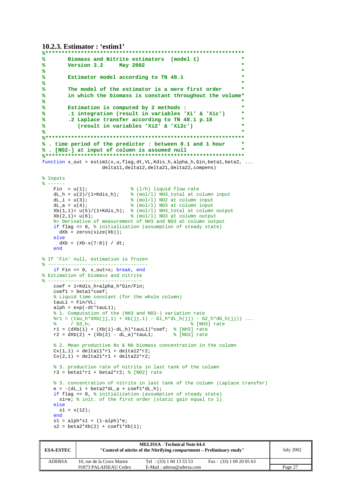```
10.2.3. Estimator : 'estim1'
```

```
%**************************************************************
        % Biomass and Nitrite estimators (model 1) *
% Version 3.2 May 2002 *
% *
% Estimator model according to TN 48.1 *
% *
% The model of the estimator is a mere first order *
       % in which the biomass is constant throughout the volume*
% *
% Estimation is computed by 2 methods : *
        % .1 integration (result in variables 'Xi' & 'Xic') *
% .2 Laplace transfer according to TN 48.1 p.18 *
% (result in variables 'Xi2' & 'Xi2c') *
% *
%**************************************************************
% . time period of the predictor : between 0.1 and 1 hour *
% . [NO2-] at input of column is assumed null *
%**************************************************************
function x out = estim1(x,u,flag,dt,VL,Kdis h,alpha h,Gin,beta1,beta2, ...
                    delta11,delta12,delta21,delta22,compens) 
% Inputs
\frac{2}{6} ------<br>Fin = u(1);
   Fin = u(1); \frac{1}{2} (1/h) liquid flow rate<br>dL_h = u(2)/(1+Kdis_h); \frac{1}{2} (mol/l) NH3_total at c
   dL_h = u(2)/(1+Kdis_h); % (mol/l) NH3_total at column input dL_i = u(3); % (mol/l) NO2 at column input
   dL_i = u(3);<br>dL_a = u(4);<br>\frac{d}{dx} = u(4);<br>\frac{d}{dx} = \frac{u(4)}{x};<br>\frac{d}{dx} = \frac{u(4)}{x};<br>\frac{d}{dx} = \frac{u(4)}{x};
                             \frac{1}{2} (mol/l) NO3 at column input
   Xb(1,1)= u(5)/(1+Kdis_h); % (mol/l) NH3_total at column output
   Xb(2,1)=u(6); % (mol/l) NO3 at column output
     %> Derivative of measurement of NH3 and NO3 at column output
    if flag == 0, % initialization (assumption of steady state)
     dXb = zeros(size(Xb));
    else 
     dXb = (Xb-x(7:8)) / dt;
    end
% If 'Fin' null, estimation is frozen
% -----------------------------------
    if Fin <= 0, x_out=x; break, end
% Estimation of biomass and nitrite
% - - - - - - - - coef = 1+Kdis_h+alpha_h*Gin/Fin; 
   coeff1 = beta1*coeff; % Liquid time constant (for the whole column)
   tau1 = Fin/VL;alph = exp(-dt *tau1);
     % 1. Computation of the (NH3 and NO3-) variation rate
   *1 = (tau_h * dXb(jj,1) + Xb(jj,1) - G1_h * dL_h(jj) - G2_h * dG_h(jj)) ...<br>
*(G3 h;% [NH3] rate
   r1 = (dXb(1) + (Xb(1)-dL_h)*tauL1)*code; (NH3) rate
   r2 = dXb(2) + (Xb(2) - dL_a)*tauL1; % [NO3] rate
    % 2. Mean productive Ns & Nb biomass concentration in the column
   Cx(1,1) = delta11*r1 + delta12*r2;Cx(2,1) = delta21*r1 + delta22*r2; % 3. production rate of nitrite in last tank of the column
   r3 = \text{beta1*}r1 + \text{beta2*}r2; % [NO2] rate
    % 3. concentration of nitrite in last tank of the column (Laplace transfer)
   e = -(dL_i + beta2*dL_a + coef1*dL_h); if flag == 0, % initialization (assumption of steady state)
      s1=e; % init. of the first order (static gain equal to 1)
    else
     s1 = x(12);
    end
   sl = alpha*sl + (1-a1ph)*e;s2 = \frac{1}{2} = beta2*Xb(2) + coef1*Xb(1);
```

| <b>ESA-ESTEC</b> |                            | <b>MELISSA - Technical Note 64.4</b><br>"Control of nitrite of the Nitrifying compartment – Preliminary study" |                           | <b>July 2002</b> |
|------------------|----------------------------|----------------------------------------------------------------------------------------------------------------|---------------------------|------------------|
| <b>ADERSA</b>    | 10, rue de la Croix Martre | Tel : $(33) 1 60 13 53 53$                                                                                     | Fax: $(33)$ 1 69 20 05 63 |                  |
|                  | 91873 PALAISEAU Cedex      | E-Mail: adersa@adersa.com                                                                                      |                           | Page 27          |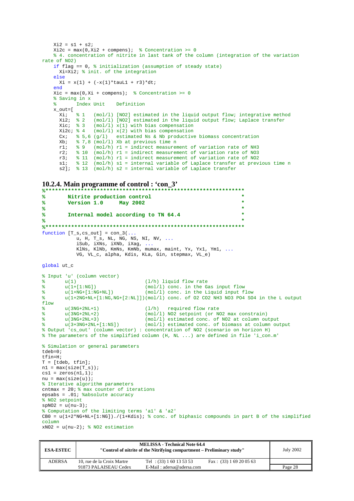```
Xi2 = s1 + s2;Xi2c = max(0,Xi2 + compens); % Concentration >= 0
     % 4. concentration of nitrite in last tank of the column (integration of the variation 
rate of NO2)
     if flag == 0, % initialization (assumption of steady state)
       Xi=Xi2; % init. of the integration
     else
      Xi = x(1) + (-x(1)*tau1 + r3)*dt; end
    Xic = max(0, Xi + compens); % Concentration >= 0
      % Saving in x
     % Index Unit Definition
     x_out=[ 
       Xi; \frac{1}{2} (mol/l) [NO2] estimated in the liquid output flow; integrative method<br>Xi2; \frac{1}{2} (mol/l) [NO2] estimated in the liquid output flow; Laplace transfer
                     (mol/1) [NO2] estimated in the liquid output flow; Laplace transfer
       Xic; \frac{1}{2} 3 (mol/l) x(1) with bias compensation
       Xi2c; \frac{2}{3} \frac{4}{3} (mol/1) x(2) with bias compensation
       Cx; \frac{8}{5}, 6 (g/l) estimated Ns & Nb productive biomass concentration<br>
\frac{8}{7} \frac{7}{8} (mol/l) Xb at previous time n
       x + 7, x + 7, x + 8 (mol/l) x + 1; x + 9 (mol/h) x + 1 = indirect measurem
       r1; \frac{9}{2} (mol/h) r1 = indirect measurement of variation rate of NH3<br>r2; \frac{9}{2} (mol/h) r1 = indirect measurement of variation rate of NO3
              \frac{2}{3} 10 (mol/h) r1 = indirect measurement of variation rate of NO3
        r3; % 11 (mol/h) r1 = indirect measurement of variation rate of NO2 
 s1; % 12 (mol/h) s1 = internal variable of Laplace transfer at previous time n
 s2]; % 13 (mol/h) s2 = internal variable of Laplace transfer
```

```
10.2.4. Main programme of control : 'con_3'
```

```
%**************************************************************
% Nitrite production control *
% Version 1.0 May 2002 *
% *
% Internal model according to TN 64.4 *
% *
%**************************************************************
function [T_s, cs_out] = con_3(...
           u, H, T_s, NL, NG, NS, NI, NV, ...
           iSub, iXNs, iXNb, iXag, ...
           KlNs, KlNb, KmNs, KmNb, mumax, maint, Yx, Yx1, Ym1, ...
           VG, VL_c, alpha, Kdis, KLa, Gin, stepmax, VL_e) 
global ut_c 
% Input 'u' (column vector)
% u(1) (l/h) liquid flow rate
% u(1+[1:NG]) (mol/l) conc. in the Gas input flow<br>% u(1+NG+[1:NG+NL]) (mol/l) conc. in the Liquid input f
% u(1+NG+[1:NG+NL]) (mol/l) conc. in the Liquid input flow 
% u(1+2NG+NL+[1:NG,NG+[2:NL]])(mol/l) conc. of O2 CO2 NH3 NO3 PO4 SO4 in the L output 
flow 
% u(3NG+2NL+1) (l/h) required flow rate 
% u(3NG+2NL+2) (mol/l) NO2 setpoint (or NO2 max constrain)<br>% u(3NG+2NL+3) (mol/l) estimated conc. of NO2 at column ou
% u(3NG+2NL+3) (mol/l) estimated conc. of NO2 at column output 
% u(3+3NG+2NL+[1:NS]) (mol/l) estimated conc. of biomass at column output 
% Output 'cs_out' (column vector) : concentration of NO2 (scenario on horizon H)
% The parameters of the simplified column (H, NL ...) are defined in file 'i_con.m'
% Simulation or general parameters
tdeb=0; 
tfin=H; 
T = [tdeb, tfin];nl = max(size(T s));cs1 = zeros(n1,1);nu = max(size(u));% Iterative algorithm parameters
cntmax = 20: \frac{20}{3} max counter of iterations
epsabs = .01; %absolute accuracy
% NO2 setpoint
spNO2 = u(nu-3);
% Computation of the limiting terms 'a1' & 'a2'
CB0 = u(1+2*NG+NL+[1:NG])./(1+Kdis); % conc. of biphasic compounds in part B of the simplified 
column
xNO2 = u(nu-2); % NO2 estimation
```

| <b>ESA-ESTEC</b> |                            | <b>MELISSA - Technical Note 64.4</b><br>"Control of nitrite of the Nitrifying compartment – Preliminary study" |                           | <b>July 2002</b> |
|------------------|----------------------------|----------------------------------------------------------------------------------------------------------------|---------------------------|------------------|
| <b>ADERSA</b>    | 10, rue de la Croix Martre | Tel : $(33) 1 60 13 53 53$                                                                                     | Fax: $(33)$ 1 69 20 05 63 |                  |
|                  | 91873 PALAISEAU Cedex      | E-Mail: adersa@adersa.com                                                                                      |                           | Page 28          |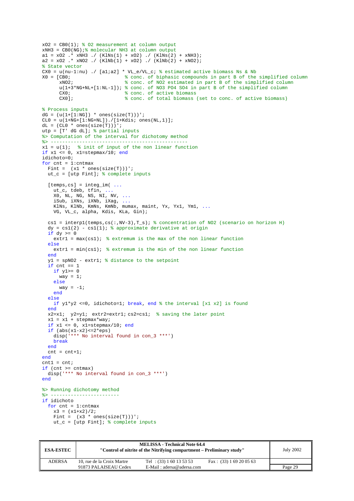$xO2 = CBO(1)$ ; % 02 measurement at column output  $xNH3 = CB0(NG)$ ; molecular NH3 at column output a1 =  $x02$  .\*  $xNH3$  ./ (KlNs(1) +  $x02$ ) ./ (KlNs(2) +  $xNH3$ );  $a2 = x02$  .\*  $xNO2$  ./  $(KlNb(1) + x02)$  ./  $(KlNb(2) + xNO2)$ ; % State vector CX0 = u(nu-1:nu) ./ [alia2] \* VL\_e/VL\_c; % estimated active biomass Ns & Nb<br>  $X0 =$  [CB0; % conc. of biphasic compounds in part B of the (CB0;  $\frac{8 \text{ conc. of biphasic compounds in part B of the simplified column}}{8 \text{ conc. of NO2 estimated in part B of the simplified column}}$  $\frac{1}{2}$  conc. of NO2 estimated in part B of the simplified column  $u(1+3*NG+NL+[1:NL-1])$ ; % conc. of NO3 PO4 SO4 in part B of the simplified column  $CX0$ ; CX0;  $\begin{array}{ccc} \texttt{CCX0:} & \texttt{% conc. of active biomass} \\ \texttt{CCX0}: & \texttt{% conc. of total biomass} \end{array}$ % conc. of total biomass (set to conc. of active biomass) % Process inputs  $dG = (u(1+[1:NG]) * ones(size(T)))$  $CL0 = u(1+NG+[1:NG+NL])$ ./[1+Kdis; ones(NL,1)];  $dL = (CL0 * ones(size(T)))$ utp = [T' dG dL]; % partial inputs %> Computation of the interval for dichotomy method %> ----------------------------------------------- x1 = u(1); % init of input of the non linear function if  $x1 \le 0$ ,  $x1 =$ stepmax/10; end idichoto=0; for  $cnt = 1:cntmax$ Fint =  $(x1 * ones(size(T)))$ ut\_c =  $[$ utp Fint];  $%$  complete inputs [temps, cs] = integ\_im( ... ut\_c, tdeb, tfin, ... X0, NL, NG, NS, NI, NV, ... iSub, iXNs, iXNb, iXag, ... KlNs, KlNb, KmNs, KmNb, mumax, maint, Yx, Yx1, Ym1, ... VG, VL\_c, alpha, Kdis, KLa, Gin); cs1 = interp1(temps,cs(:,NV-3),T\_s); % concentration of NO2 (scenario on horizon H)  $dy = cs1(2) - cs1(1);$  % approximate derivative at origin if  $dy \ge 0$ extr1 =  $max(cs1)$ ; % extremum is the max of the non linear function else extr1 = min(cs1); % extremum is the min of the non linear function end y1 = spNO2 - extr1; % distance to the setpoint if  $cnt == 1$ if  $v1>=0$  $way = 1;$  else way =  $-1$ ; end else if  $y1*y2 \le 0$ , idichoto=1; break, end % the interval [x1 x2] is found end x2=x1; y2=y1; extr2=extr1; cs2=cs1; % saving the later point x1 = x1 + stepmax\*way; if  $x1 \le 0$ ,  $x1 = stepmax/10$ ; end if  $(abs(x1-x2) \leq 2*eps)$ disp('\*\*\* No interval found in con\_3 \*\*\*') break end  $cnt = cnt + 1;$ end  $cnt1 = crit;$ if (cnt >= cntmax) disp('\*\*\* No interval found in con\_3 \*\*\*') end %> Running dichotomy method %> ----------------------- if idichoto for  $cnt = 1:cntmax$  $x3 = (x1+x2)/2;$ Fint =  $(x3 * ones(size(T)))$ ut\_c =  $[$ utp Fint]; % complete inputs

| <b>ESA-ESTEC</b> |                            | <b>MELISSA - Technical Note 64.4</b><br>"Control of nitrite of the Nitrifying compartment – Preliminary study" |                           | <b>July 2002</b> |
|------------------|----------------------------|----------------------------------------------------------------------------------------------------------------|---------------------------|------------------|
| ADERSA           | 10, rue de la Croix Martre | Tel : $(33) 1 60 13 53 53$                                                                                     | Fax: $(33)$ 1 69 20 05 63 |                  |
|                  | 91873 PALAISEAU Cedex      | E-Mail: adersa@adersa.com                                                                                      |                           | Page 29          |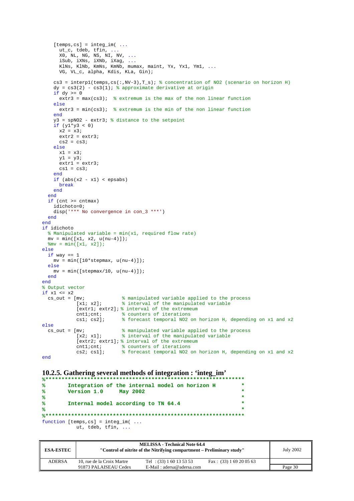```
[ temps, cs ] = integ_im( ...
      ut c, tdeb, tfin, ...
      X0, NL, NG, NS, NI, NV, \dots iSub, iXNs, iXNb, iXag, ...
       KlNs, KlNb, KmNs, KmNb, mumax, maint, Yx, Yx1, Ym1, ...
       VG, VL_c, alpha, Kdis, KLa, Gin); 
    cs3 = interpl(temps,cs(:,NV-3),T_s); % concentration of NO2 (scenario on horizon H)
    dy = cs3(2) - cs3(1); % approximate derivative at origin
    if dy \ge 0extr3 = max(css); % extremum is the max of the non linear function
     else
      extr3 = min(css); % extremum is the min of the non linear function
     end
     y3 = spNO2 - extr3; % distance to the setpoint
    if (y1*y3 < 0)x2 = x3; extr2 = extr3; 
      cs2 = cs3; else
      x1 = x3;
       y1 = y3; 
       extr1 = extr3; 
      cs1 = cs3; end
    if (abs(x2 - x1) < epsabs) break
     end
   end
  if (\text{cnt} > = \text{cnt} \text{max}) idichoto=0; 
     disp('*** No convergence in con_3 ***') 
   end
end
if idichoto 
   % Manipulated variable = min(x1, required flow rate)
 mv = min([x1, x2, u(nu-4)]); %mv = min([x1, x2]);
else
  if way == 1mv = min([10*stepmax, u(nu-4)]); else
   mv = min([stemax/10, u(nu-4)]); end
end
% Output vector
if x1 \leq x2cs_out = [mv; % manipulated variable applied to the process [x1; x2]; % interval of the manipulated variable
                               [x1; x2]; % interval of the manipulated variable
              [extr1; extr2]; % interval of the extremeum
 cnt1;cnt; % counters of iterations
 cs1; cs2]; % forecast temporal NO2 on horizon H, depending on x1 and x2
else<br>cs \text{ out } = \text{Im}vmv;<br>[x2; x1]; % manipulated variable applied to the process<br>[x2; x1]; % interval of the manipulated variable
                               % interval of the manipulated variable
             [extr2; extr1]; % interval of the extremeum<br>cnt1;cnt; % counters of iterations
                               % counters of iterations
              cs2; cs1]; % forecast temporal NO2 on horizon H, depending on x1 and x2
end
```
#### **10.2.5. Gathering several methods of integration : 'integ\_im'**

```
%**************************************************************
% Integration of the internal model on horizon H *
% Version 1.0 May 2002 *
% *
% Internal model according to TN 64.4 *
% *
%**************************************************************
function [temps,cs] = integ_im( ...
       ut, tdeb, tfin, ...
```

| <b>ESA-ESTEC</b> |                            | <b>MELISSA - Technical Note 64.4</b><br>"Control of nitrite of the Nitrifying compartment – Preliminary study" |                           |         |
|------------------|----------------------------|----------------------------------------------------------------------------------------------------------------|---------------------------|---------|
| <b>ADERSA</b>    | 10, rue de la Croix Martre | Tel : $(33) 1 60 13 53 53$                                                                                     | Fax: $(33)$ 1 69 20 05 63 |         |
|                  | 91873 PALAISEAU Cedex      | E-Mail: adersa@adersa.com                                                                                      |                           | Page 30 |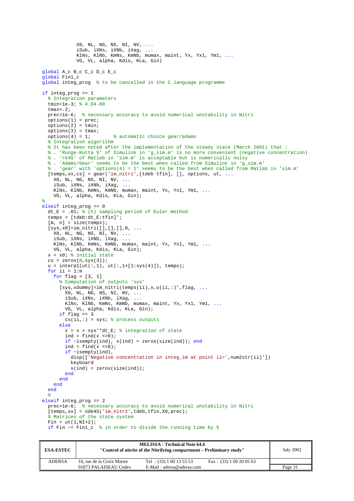```
 X0, NL, NG, NS, NI, NV, ...
 iSub, iXNs, iXNb, iXag, ...
 KlNs, KlNb, KmNs, KmNb, mumax, maint, Yx, Yx1, Ym1, ...
             VG, VL, alpha, Kdis, KLa, Gin) 
global A_c B_c C_c D_c E_c 
global Fin1_c 
global integ_prog % to be cancelled in the C language programme
if integ_prog == 1 
   % Integration parameters
   tmin=1e-3; % 4.04.00
  tmax=2;
   prec=1e-6; % necessary accuracy to avoid numerical unstability in Nitri
  options(1) = prec;options(2) = tmin;options(3) = tmax;options(4) = 1; % automatic choice gear/adams
   % Integration algorithm 
   % It has been noted after the implementation of the steady state (March 2001) that :
   % . 'Runge-Kutta 5' of Simulink in 'g_sim.m' is no more convenient (negative concentration)
   % . 'rk45' of Matlab in 'sim.m' is acceptable but is numerically noisy
   % . 'Adams/Gear' seems to be the best when called from Simulink in 'g_sim.m'
   % . 'gear' with 'options(4) = 1' seems to be the best when called from Matlab in 'sim.m'
  [temps,xx,cs] = gear('im_nitri',[tdeb tfin], [], options, ut, ...
     X0, NL, NG, NS, NI, NV, ...
     iSub, iXNs, iXNb, iXag, ...
     KlNs, KlNb, KmNs, KmNb, mumax, maint, Yx, Yx1, Ym1, ...
     VG, VL, alpha, Kdis, KLa, Gin); 
% 
elseif integ_prog == 0 
  dt_E = .01; \frac{1}{6} (h) sampling period of Euler method
  temps = [tdeb:dt_E:tfin]';
  [m, n] = size(temps);[sys,x0]=im\_nitri([],[]],[],0, ... X0, NL, NG, NS, NI, NV, ...
     iSub, iXNs, iXNb, iXag, ...
     KlNs, KlNb, KmNs, KmNb, mumax, maint, Yx, Yx1, Ym1, ...
     VG, VL, alpha, Kdis, KLa, Gin); 
  x = x0; % initial state
  cs = zeros(n, sys(3));
  u = \text{interval}(ut(:,1), ut(:,1+[1:sys(4)]), \text{ terms});for ii = 1:m for flag = [3, 1] 
       % Computation of outputs 'sys'
      [sys,xdummy]=im_nitri(temps(ii),x,u(ii,:)',flag, ...
         X0, NL, NG, NS, NI, NV, ...
 iSub, iXNs, iXNb, iXag, ...
 KlNs, KlNb, KmNs, KmNb, mumax, maint, Yx, Yx1, Ym1, ...
         VG, VL, alpha, Kdis, KLa, Gin); 
      if flag == 3cs(ii,:) = sys; % process outputs
       else
        x = x + sys' * dt_E; \frac{1}{2} integration of state
        ind = find(x \le 0);
        if \simisempty(ind), x(ind) = zeros(size(ind)); end
        ind = find(x <= 0); if ~isempty(ind), 
          disp(['Neqative concentration in integ\_im at point ii=', num2str(ii)'])
           keyboard 
          x(ind) = zeros(size(ind));
         end
       end
     end
   end
^{\circ} %
elseif integ_prog == 2 
   prec=1e-6; % necessary accuracy to avoid numerical unstability in Nitri
  [{\rm temps,xx}] \ = \ {\rm ode45}('{\rm im\_nitr2}\ ,{\rm tdeb},{\rm tfin,X0},{\rm prec})\ ; % Matrices of the state system
  Fin = ut(1, NI+2);if Fin \sim= Fin1 c \frac{2}{3} in order to divide the running time by 5
```

| <b>ESA-ESTEC</b> |                            | <b>MELISSA - Technical Note 64.4</b><br>"Control of nitrite of the Nitrifying compartment – Preliminary study" |                           | <b>July 2002</b> |
|------------------|----------------------------|----------------------------------------------------------------------------------------------------------------|---------------------------|------------------|
| <b>ADERSA</b>    | 10, rue de la Croix Martre | Tel : $(33) 1 60 13 53 53$                                                                                     | Fax: $(33)$ 1 69 20 05 63 |                  |
|                  | 91873 PALAISEAU Cedex      | $E-Mail : adersa@adersa.com$                                                                                   |                           | Page 31          |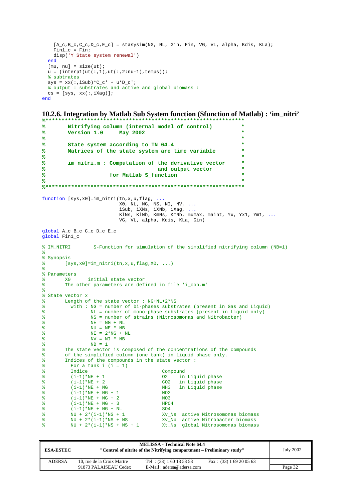```
[A_c, B_c, C_c, D_c, E_c] = stasysim(NG, NL, Gin, Fin, VG, VL, alpha, Kdis, KLa);
    Fin1 c = Fin; disp('Y State system renewal') 
   end
  [mu, nu] = size(ut);u = (interpl(ut(:,1),ut(:,2:nu-1),temps)); % subtrates
  sys = xx(:,iSub)*C_c' + u*Dc'; % output : substrates and active and global biomass :
 cs = [sys, xx(:,iXag)];end
```
**10.2.6. Integration by Matlab Sub System function (Sfunction of Matlab) : 'im\_nitri' %\*\*\*\*\*\*\*\*\*\*\*\*\*\*\*\*\*\*\*\*\*\*\*\*\*\*\*\*\*\*\*\*\*\*\*\*\*\*\*\*\*\*\*\*\*\*\*\*\*\*\*\*\*\*\*\*\*\*\*\*\*\***

```
% Nitrifying column (internal model of control) *
% Version 1.0 May 2002 *
% *
% State system according to TN 64.4 *
        Matrices of the state system are time variable
% *
% im_nitri.m : Computation of the derivative vector *
                                    and output vector
% for Matlab S_function *
% *
%**************************************************************
function [sys,x0]=im_nitri(tn,x,u,flag, ...
                        X0, NL, NG, NS, NI, NV, \dots iSub, iXNs, iXNb, iXag, ...
                         KlNs, KlNb, KmNs, KmNb, mumax, maint, Yx, Yx1, Ym1, ...
                         VG, VL, alpha, Kdis, KLa, Gin) 
global A_c B_c C_c D_c E_c 
global Fin1_c 
% IM_NITRI S-Function for simulation of the simplified nitrifying column (NB=1)
%
% Synopsis
\gamma [sys, x0]=im_nitri(tn, x, u, flag, X0, ...)
%
% Parameters
% X0 initial state vector
% The other parameters are defined in file 'i_con.m'
\epsilon% State vector x<br>% Length of
      Length of the state vector : NG+NL+2*NS
% with : NG = number of bi-phases substrates (present in Gas and Liquid)
% NL = number of mono-phase substrates (present in Liquid only)
               NS = number of strains (Nitrosomonas and Nitrobacter)
% NE = NG + NL
% NU = NE * NB
% NI = 2*NG + NL
\% NV = NI * NB<br>\% NR = 1
               NB = 1% The state vector is composed of the concentrations of the compounds<br>% of the simplified column (one tank) in liquid phase only
% of the simplified column (one tank) in liquid phase only.
% Indices of the compounds in the state vector :<br>% For a tank i (i = 1)\frac{8}{2} For a tank i (i = 1)<br>\frac{8}{2}Indice Compound
% (i-1)*NE + 1 02 in Liquid phase<br>% (i-1)*NE + 2 CO2 in Liquid phase
% (i-1)*NE + 2 CO2 in Liquid phase<br>% (i-1)*NE + NG NH3 in Liquid phase
% (i-1)*NE + NG<br>
(i-1)*NE + NG + 1 NG2<br>
NO2
        (i-1)*NE + NG + 1% (i-1)*NE + NG + 2 NO3
% (i-1)*NE + NG + 3 HPO4
% (i-1)*NE + NG + NL SO4<br>% NU + 2*(i-1)*NS + 1 Xv
% NU + 2*(i-1)*NS + 1 Xv_Ns active Nitrosomonas biomass<br>% NU + 2*(i-1)*NS + NS Xv Nb active Nitrobacter biomass
% \hbox{NU} + 2*(i-1)*NS + NS<br>% \hbox{NU} + 2*(i-1)*NS + NS<br>% \hbox{NU} + 2*(i-1)*NS + NS + 1 Xt Ns global Nitrosomonas biomass
                                    Xt_Ns global Nitrosomonas biomass
```

| <b>ESA-ESTEC</b> | <b>MELISSA - Technical Note 64.4</b><br>"Control of nitrite of the Nitrifying compartment – Preliminary study" |                            |                           | <b>July 2002</b> |
|------------------|----------------------------------------------------------------------------------------------------------------|----------------------------|---------------------------|------------------|
| <b>ADERSA</b>    | 10, rue de la Croix Martre                                                                                     | Tel : $(33) 1 60 13 53 53$ | Fax: $(33)$ 1 69 20 05 63 |                  |
|                  | 91873 PALAISEAU Cedex                                                                                          | E-Mail: adersa@adersa.com  |                           | Page 32          |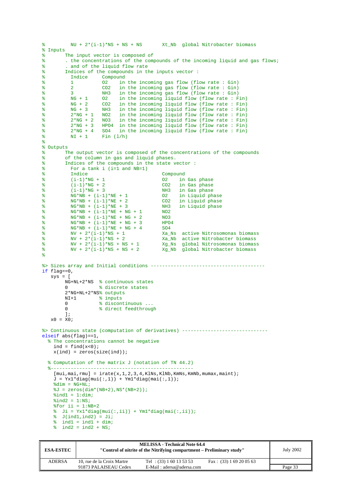```
\frac{1}{2} NU + 2*(i-1)*NS + NS + NS Xt_Nb qlobal Nitrobacter biomass
% Inputs
% The input vector is composed of 
% . the concentrations of the compounds of the incoming liquid and gas flows;
% . and of the liquid flow rate
% Indices of the compounds in the inputs vector :<br>% Indice Compound
% Indice Compound<br>% 1 02 in
% 1 02 in the incoming gas flow (flow rate : Gin)<br>% 2 002 in the incoming gas flow (flow rate : Gin)
% 2 CO2 in the incoming gas flow (flow rate : Gin)
% 3 NH3 in the incoming gas flow (flow rate : Gin)
% NG + 1 O2 in the incoming liquid flow (flow rate : Fin)
% NG + 2 CO2 in the incoming liquid flow (flow rate: Fin)<br>% NG + 3 NH3 in the incoming liguid flow (flow rate: Fin)
% NG + 3 NH3 in the incoming liquid flow (flow rate : Fin)<br>% 2*NG + 1 NO2 in the incoming liquid flow (flow rate : Fin)
% 2*NG + 1 NO2 in the incoming liquid flow (flow rate : Fin)
           2*NG + 2 NO3 in the incoming liquid flow (flow rate : Fin)<br>2*NG + 3 HPO4 in the incoming liquid flow (flow rate : Fin)
% 2*NG + 3 HPO4 in the incoming liquid flow (flow rate : Fin)
% 2*NG + 4 SO4 in the incoming liquid flow (flow rate : Fin)
\sqrt[8]{ } NI + 1 Fin (1/h)
%
% Outputs<br>% T
        The output vector is composed of the concentrations of the compounds
% of the column in gas and liquid phases.
% Indices of the compounds in the state vector :
% For a tank i (i=1 and NB=1)<br>% Indice
           Indice Compound<br>
(i-1)*NG + 1 02 in
% (i-1)*NG + 1 02 in Gas phase<br>% (i-1)*NG + 2 CO2 in Gas phase
           (i-1)*NG + 2<br>(i-1)*NG + 3<br>NH3 in Gas phase
% (i-1)*NG + 3 NH3 in Gas phase<br>% NG*NB + (i-1)*NE + 1 02 in Liquid phase
% N G * NB + (i-1) * NE + 1 02<br>% N G * NR + (i-1) * NR + 2 CO2
\% NG*NB + (i-1)*NE + 2 CO2 in Liquid phase<br>\% NG*NB + (i-1)*NE + 3 NH3 in Liquid phase
% NG*NB + (i-1)*NE + 3 NG*NB + (i-1)*NE + 3 NH3 3<br>
8 NG*NR + (i-1)*NF + NG + 1 NO2
% NG*NB + (i-1)*NE + NG + 1 NO2<br>% NG*NR + (i-1)*NE + NG + 2 NO3
          NG*NB + (i-1)*NE + NG + 2% NG*NB + (i-1)*NE + NG + 3 HPO4
% \frac{1}{8} NG*NB + (i-1)*NE + NG + 4 SO4<br>% NV + 2*(i-1)*NS + 1 Xa_l
% NV + 2*(i-1)*NS + 1<br>% NV + 2*(i-1)*NS + 2 Xa Nb active Nitrobacter biomass
W + 2*(i-1)*NS + 2<br>Xa_Nb active Nitrobacter biomass<br>W + 2*(i-1)*NS + NS + 1<br>Xg Ns qlobal Nitrosomonas biomass
% NV + 2*(i-1)*NS + NS + 1 Xg_Ns global Nitrosomonas biomass
% NV + 2*(i-1)*NS + NS + 2 Xg_Nb global Nitrobacter biomass
%
%> Sizes array and Initial conditions ----------------------------------------
if flac=0.
   sys = [ NG+NL+2*NS % continuous states
          0 % discrete states
          2*NG+NL+2*NS% outputs
        NI+1 % inputs<br>0 % discont
         0 % discontinuous ...<br>0 % direct feedthrough
                     % direct feedthrough
          ]; 
   x_0 = x_0:
%> Continuous state (computation of derivatives) ------------------------------
elseif abs(flag)==1, 
   % The concentrations cannot be negative
    ind = find(x<0);
    x(ind) = zeros(size(ind)); % Computation of the matrix J (notation of TN 44.2)
 %--------------------------------------------------
    [mui,mai,rmu] = irate(x,1,2,3,4,KlNs,KlNb,KmNs,KmNb,mumax,maint);J = Yx1*diag(mui(:,1)) + Ym1*diag(mai(:,1));\delta \text{dim} = \text{NG+NL};
    \sqrt[2]{3} = zeros(dim*(NB+2),NS*(NB+2));
    % \text{ind1} = 1:\text{dim}\text{find2} = 1:\text{NS};*for ii = 1:NB+2
    % Ji = Yx1 * diag(mui(:,ii)) + Ym1 * diag(mai(:,ii));\sqrt[3]{} J(ind1, ind2) = Ji;
    \frac{1}{2} ind1 = ind1 + dim;
    \frac{1}{2} ind2 = ind2 + NS;
```

| <b>ESA-ESTEC</b> | <b>MELISSA - Technical Note 64.4</b><br>"Control of nitrite of the Nitrifying compartment – Preliminary study" |                              |                           | <b>July 2002</b> |
|------------------|----------------------------------------------------------------------------------------------------------------|------------------------------|---------------------------|------------------|
| <b>ADERSA</b>    | 10, rue de la Croix Martre                                                                                     | Tel : $(33) 1 60 13 53 53$   | Fax: $(33)$ 1 69 20 05 63 |                  |
|                  | 91873 PALAISEAU Cedex                                                                                          | $E-Mail : adersa@adersa.com$ |                           | Page 33          |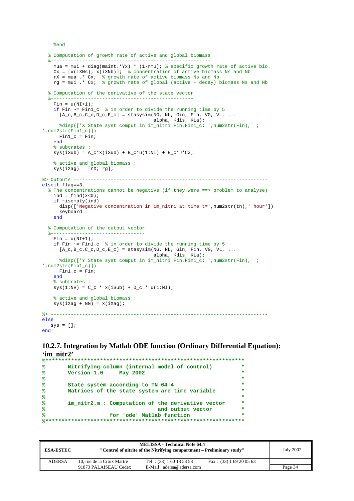%end

end

```
 % Computation of growth rate of active and global biomass
 %--------------------------------------------------------
 mua = mui + diag(maint.*Yx) * (1-rmu); % specific growth rate of active bio.
   Cx = [x(iXNs); x(iXNb)]; % concentration of active biomass Ns and Nb
 rX = mua .* Cx; % growth rate of active biomass Ns and Nb
 rg = mui .* Cx; % growth rate of global (active + decay) biomass Ns and Nb
   % Computation of the derivative of the state vector
   %--------------------------------------------------
   Fin = 11(NT+1); if Fin ~= Fin1_c % in order to divide the running time by 5
     [A_c, B_c, C_c, D_c, E_c] = stasysim(NG, NL, Gin, Fin, VG, VL, ...
                                        alpha, Kdis, KLa); 
      %disp(['X State syst comput in im_nitri Fin,Fin1_c: ',num2str(Fin),' ; 
',num2str(Fin1_c)]) 
      Fin1_c = Fin; 
     end
     % subtrates :
   sys(iSub) = A_c * x(iSub) + B_c * u(1:NI) + E_c * J * Cx; % active and global biomass :
   sys(iXag) = [rX; rg];%> Outputs --------------------------------------------------------------------
elseif flag==3, 
   % The concentrations cannot be negative (if they were ==> problem to analyse)
   ind = find(x<0);
     if ~isempty(ind) 
     disp(['Negative concentration in im_nitri at time t=',num2str(tn),' hour'])
      keyboard 
     end
   % Computation of the output vector
 %---------------------------------
   Fin = u(NI+1);
     if Fin ~= Fin1_c % in order to divide the running time by 5
      [A_c,B_c,C_c,D_c,E_c] = stasysim(NG, NL, Gin, Fin, VG, VL, ...
                                        alpha, Kdis, KLa); 
      %disp(['Y State syst comput in im_nitri Fin,Fin1_c: ',num2str(Fin),' ; 
',num2str(Fin1_c)]) 
     Find_c = Fin; end
     % subtrates :
   sys(1:NV) = C_c * x(isub) + D_c * u(1:NI); % active and global biomass :
   sys(iXaq + NG) = x(iXaq);
%> ----------------------------------------------------------------------------
else
  sys = []
```
## **10.2.7. Integration by Matlab ODE function (Ordinary Differential Equation): 'im\_nitr2'**

```
%**************************************************************
% Nitrifying column (internal model of control) *
% Version 1.0 May 2002 *
% *
% State system according to TN 64.4 *
% Matrices of the state system are time variable *
% *
% im_nitr2.m : Computation of the derivative vector *
% and output vector *
% for 'ode' Matlab function *
%**************************************************************
```

| <b>ESA-ESTEC</b> | <b>MELISSA - Technical Note 64.4</b><br>"Control of nitrite of the Nitrifying compartment – Preliminary study" |                            |                           | <b>July 2002</b> |
|------------------|----------------------------------------------------------------------------------------------------------------|----------------------------|---------------------------|------------------|
| <b>ADERSA</b>    | 10, rue de la Croix Martre                                                                                     | Tel : $(33) 1 60 13 53 53$ | Fax: $(33)$ 1 69 20 05 63 |                  |
|                  | 91873 PALAISEAU Cedex                                                                                          | E-Mail: adersa@adersa.com  |                           | Page 34          |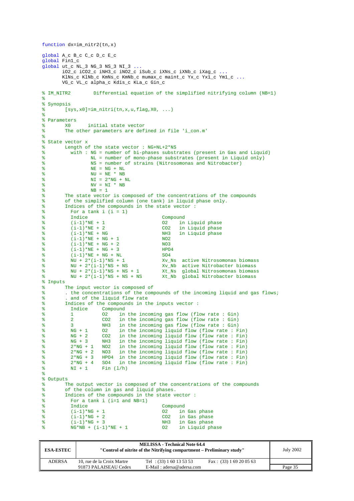```
function dx=im_nitr2(tn,x) 
global A_c B_c C_c D_c E_c 
global Fin1_c 
global ut_c NL_3 NG_3 NS_3 NI_3 ...
         iO2_c iCO2_c iNH3_c iNO2_c iSub_c iXNs_c iXNb_c iXag_c ...
        KlNs_c KlNb_c KmNs_c KmNb_c mumax_c maint_c Yx_c Yx1_c Ym1_c ...
        VG_c VL_c alpha_c Kdis_c KLa c Gin c
% IM_NITR2 Differential equation of the simplified nitrifying column (NB=1)
%
% Synopsis
\gamma [sys, x0]=im_nitri(tn, x, u, flag, X0, ...)
%
% Parameters
% X0 initial state vector
% The other parameters are defined in file 'i_con.m'
%
% State vector x
% Length of the state vector : NG + NL + 2*NS<br>% with : NG = number of bi-phases substi
% with : NG = number of bi-phases substrates (present in Gas and Liquid)<br><sup>8</sup> NT<sub>1</sub> = number of mono-phase substrates (present in Liquid only)
                   % NL = number of mono-phase substrates (present in Liquid only)
% NS = number of strains (Nitrosomonas and Nitrobacter)
% NE = NG + NL
% NU = NE * NB
% NI = 2*NG + NL
                   NV = NI * NB% NB = 1
% The state vector is composed of the concentrations of the compounds
% of the simplified column (one tank) in liquid phase only.
% Indices of the compounds in the state vector :<br>% For a tank i (i = 1)% For a tank i (i = 1)<br>% Indice
           \begin{array}{lll} \texttt{Indice} & \texttt{Compound} \\ (\texttt{i}-1)*\texttt{NE} + 1 & \texttt{O2} & \texttt{in} \end{array}% (i-1)*NE + 1 02 in Liquid phase<br>% (i-1)*NE + 2 CO2 in Liquid phase
% (i-1)*NE + 2 CO2 in Liquid phase<br>% (i-1)*NE + NG NH3 in Liquid phase
% (i-1)*NE + NG NH3 in Liquid phase<br>% (i-1)*NE + NG + 1 NO2
% (i-1)*NE + NG + 1<br>% (i-1)*NE + NG + 2(i-1)*NE + NG + 2<br>
(i-1)*NE + NG + 3<br>
HPO4
\frac{1}{2} (i-1)*NE + NG + 3
% (i-1)*NE + NG + NL SO4<br>% NU + 2*(i-1)*NS + 1 Xv_1
% NU + 2*(i-1)*NS + 1 Xv_Ns active Nitrosomonas biomass<br>% NU + 2*(i-1)*NS + NS Xv_Nb active Nitrobacter biomass
W = 2*(i-1)*NS + NS<br>
W = 2*(i-1)*NS + NS + 1<br>
W = 2*(i-1)*NS + NS + 1<br>
X = 2*(i-1)*NS + NS + 1<br>
X = 2*(i-1)*NS + NS + 1% NU + 2*(i-1)*NS + NS + 1 Xt_Ns global Nitrosomonas biomass
% NU + 2*(i-1)*NS + NS + NS Xt_Nb global Nitrobacter biomass
% Inputs
% The input vector is composed of 
% . the concentrations of the compounds of the incoming liquid and gas flows;
% . and of the liquid flow rate<br>% Indices of the compounds in the
% Indices of the compounds in the inputs vector :
                       Compound<br>02 in
% 1 O2 in the incoming gas flow (flow rate : Gin)
% 2 CO2 in the incoming gas flow (flow rate : Gin)
% 3 NH3 in the incoming gas flow (flow rate : Gin)<br>% NG + 1 02 in the incoming liguid flow (flow rate : F
% NG + 1 02 in the incoming liquid flow (flow rate: Fin)<br>% NG + 2 CO2 in the incoming liguid flow (flow rate: Fin)
% NG + 2 CO2 in the incoming liquid flow (flow rate : Fin)<br>% NG + 3 NH3 in the incoming liquid flow (flow rate : Fin)
% NG + 3 NH3 in the incoming liquid flow (flow rate : Fin)
           2*NG + 1 NO2 in the incoming liquid flow (flow rate : Fin)<br>2*NG + 2 NO3 in the incoming liquid flow (flow rate : Fin)
% 2*NG + 2 NO3 in the incoming liquid flow (flow rate : Fin)
           2*NG + 3 HPO4 in the incoming liquid flow (flow rate : Fin)<br>2*NG + 4 SO4 in the incoming liquid flow (flow rate : Fin)
% 2*NG + 4 SO4 in the incoming liquid flow (flow rate : Fin)
\sqrt[8]{} NI + 1 Fin (1/h)
\frac{9}{2}% Outputs
% The output vector is composed of the concentrations of the compounds
% of the column in gas and liquid phases.<br>% Indices of the compounds in the state w
% Indices of the compounds in the state vector :<br>% For a tank i (i=1 and NB=1)
% For a tank i (i=1 and NB=1)
           Indice Compound<br>(i-1)*NG + 1 02 in
\text{``i-1} \text{''} \text{NG} + 1 02 in Gas phase
% (i-1)*NG + 2 CO2 in Gas phase<br>% (i-1)*NG + 3 NH3 in Gas phase
% (i-1)*NG + 3<br>
% NG*NB + (i-1)*NE + 1 02 in Liquid phase
           NG*NB + (i-1)*NE + 1
```

| <b>ESA-ESTEC</b> | <b>MELISSA - Technical Note 64.4</b><br>"Control of nitrite of the Nitrifying compartment – Preliminary study" |                            |                           | <b>July 2002</b> |
|------------------|----------------------------------------------------------------------------------------------------------------|----------------------------|---------------------------|------------------|
| <b>ADERSA</b>    | 10, rue de la Croix Martre                                                                                     | Tel : $(33) 1 60 13 53 53$ | Fax: $(33)$ 1 69 20 05 63 |                  |
|                  | 91873 PALAISEAU Cedex                                                                                          | E-Mail: adersa@adersa.com  |                           | Page 35          |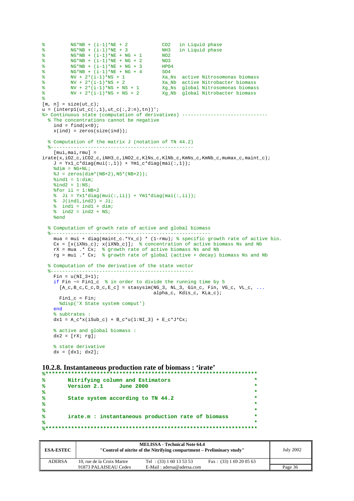```
% \frac{8}{1000} NG*NB + (i-1)*NE + 2 CO2 in Liquid phase<br>% NG*NB + (i-1)*NE + 3 NH3 in Liquid phase
           NG*NB + (i-1)*NE + 3 NH3<br>NG*NB + (i-1)*NE + NG + 1 NO2
% NG*NB + (i-1)*NE + NG + 1% NG*NB + (i-1)*NE + NG + 2 NO3
% NG*NB + (i-1)*NE + NG + 3 HPO4
% NG*NB + (i-1)*NE + NG + 4 SO4<br>
% NV + 2*(i-1)*NS + 1 Xa_I<br>
% NV + 2*(i-1)*NS + 2 Xa_I
W + 2*(i-1)*NS + 1<br>Xa_Ns active Nitrosomonas biomass<br>Xa_Nb active Nitrobacter biomass
% \frac{2}{N} + 2 * (i-1)*NS + 2<br>% \frac{2}{N} + 2 * (i-1)*NS + 2<br>% \frac{2}{N} + 2 * (i-1)*NS + NS + 1<br>% \frac{2}{N} + 2 * (i-1)*NS + NS + 1<br>xg_Ns global Nitrosomonas biomass
% NV + 2*(i-1)*NS + NS + 1 Xg_NS global Nitrosomonas biomass<br>% NV + 2*(i-1)*NS + NS + 2 Xg_ND global Nitrobacter biomass
                                                 Xg_Nb global Nitrobacter biomass
%
[m, n] = size(ut_c);u = (interpl(ut_c(:,1), ut_c(:,2:n),tn))%> Continuous state (computation of derivatives) ------------------------------
   % The concentrations cannot be negative
    ind = find(x<0);
    x(ind) = zeros(size(ind)); % Computation of the matrix J (notation of TN 44.2)
                       %--------------------------------------------------
     [mui,mai,rmu] = 
irate(x,iO2_c,iCO2_c,iNH3_c,iNO2_c,KlNs_c,KlNb_c,KmNs_c,KmNb_c,mumax_c,maint_c); 
     J = Yx1_c * diag(mui(:,1)) + Ym1_c * diag(mai(:,1));\delta \dim = NG+NL;
     \sqrt[3]{J} = zeros(dim*(NB+2),NS*(NB+2));
     % \text{ind1} = 1:\text{dim}%ind2 = 1:NS;*for \text{ii} = 1:NB+2\text{ } Ji = Yx1*diag(mui(:,ii)) + Ym1*diag(mai(:,ii));
\sqrt[3]{ } J(ind1,ind2) = Ji;
\text{ and } i = \text{ ind } 1 + \text{ dim } i\frac{1}{2} ind2 = ind2 + NS;
      %end
   % Computation of growth rate of active and global biomass
 %--------------------------------------------------------
 mua = mui + diag(maint_c.*Yx_c) * (1-rmu); % specific growth rate of active bio.
    Cx = [x(iXNs_c); x(iXNb_c)]; % concentration of active biomass Ns and Nb
     rX = mua .* Cx; % growth rate of active biomass Ns and Nb
     rg = mui . Cx; % growth rate of global (active + decay) biomass Ns and Nb
   % Computation of the derivative of the state vector
   %--------------------------------------------------
    Fin = u(NI_3+1); if Fin ~= Fin1_c % in order to divide the running time by 5
       [A_c, B_c, C_c, D_c, E_c] = stasysim(NG_3, NL_3, Gin_c, Fin, VG_c, VL_c, ...
                                               alpha_c, Kdis_c, KLa_c); 
       Find_c = Fin; %disp('X State system comput') 
      end
      % subtrates :
    dx1 = A_c * x(iSub_c) + B_c * u(1:NI_3) + E_c * J * Cx; % active and global biomass :
    dx2 = [rX; rg]; % state derivative
      dx = [dx1; dx2];
```
#### **10.2.8. Instantaneous production rate of biomass : 'irate'**

```
%******************************************************************
% Nitrifying column and Estimators *
   % Version 2.1 June 2000 *
% *
% State system according to TN 44.2 *
% *
% *
% irate.m : instantaneous production rate of biomass *
% *
%******************************************************************
```

| <b>ESA-ESTEC</b> | <b>MELISSA - Technical Note 64.4</b><br>"Control of nitrite of the Nitrifying compartment – Preliminary study" |                            |                           | <b>July 2002</b> |
|------------------|----------------------------------------------------------------------------------------------------------------|----------------------------|---------------------------|------------------|
| <b>ADERSA</b>    | 10, rue de la Croix Martre                                                                                     | Tel : $(33) 1 60 13 53 53$ | Fax: $(33)$ 1 69 20 05 63 |                  |
|                  | 91873 PALAISEAU Cedex                                                                                          | E-Mail: adersa@adersa.com  |                           | Page 36          |